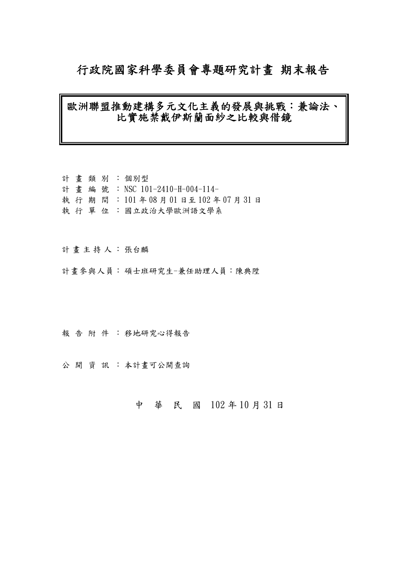## 行政院國家科學委員會專題研究計畫 期末報告

## 歐洲聯盟推動建構多元文化主義的發展與挑戰:兼論法、 比實施禁戴伊斯蘭面紗之比較與借鏡

|  |  | 計 畫 類 別 : 個別型                     |
|--|--|-----------------------------------|
|  |  | 計 書 編 號 : NSC 101-2410-H-004-114- |
|  |  | 執行期間: 101年08月01日至102年07月31日       |
|  |  | 執 行 單 位 : 國立政治大學歐洲語文學系            |

### 計 畫 主 持 人 : 張台麟

計畫參與人員: 碩士班研究生-兼任助理人員:陳典陞

#### 報告附件: 移地研究心得報告

公開 資訊: 本計畫可公開查詢

## 中 華 民 國 102 年 10 月 31 日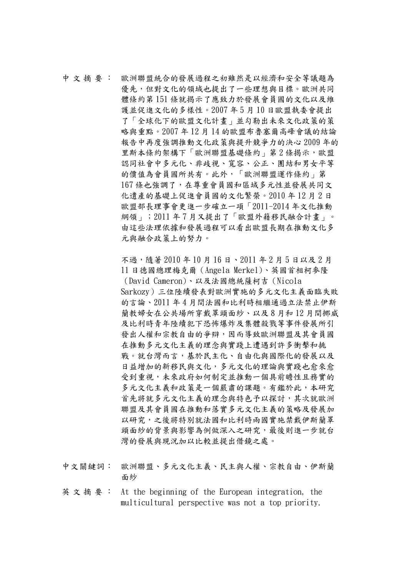中 文 摘 要 : 歐洲聯盟統合的發展過程之初雖然是以經濟和安全等議題為 優先,但對文化的領域也提出了一些理想與目標。歐洲共同 體條約第 151 條就揭示了應致力於發展會員國的文化以及維 護並促進文化的多樣性。2007 年 5 月 10 日歐盟執委會提出 了「全球化下的歐盟文化計畫」並勾勒出未來文化政策的策 略與重點。2007 年 12 月 14 的歐盟布魯塞爾高峰會議的結論 報告中再度強調推動文化政策與提升競爭力的決心 2009 年的 里斯本條約架構下「歐洲聯盟基礎條約」第2條揭示,歐盟 認同社會中多元化、非歧視、寬容、公正、團結和男女平等 的價值為會員國所共有。此外,「歐洲聯盟運作條約」第 167 條也強調了,在尊重會員國和區域多元性並發展共同文 化遺產的基礎上促進會員國的文化繁榮。2010 年 12 月 2 日 歐盟部長理事會更進一步確立一項「2011-2014 年文化推動 綱領」;2011 年 7 月又提出了「歐盟外籍移民融合計畫」。 由這些法理依據和發展過程可以看出歐盟長期在推動文化多 元與融合政策上的努力。

> 不過,隨著 2010 年 10 月 16 日、2011 年 2 月 5 日以及 2 月 11 日德國總理梅克爾(Angela Merkel)、英國首相柯麥隆 (David Cameron)、以及法國總統薩柯吉(Nicola Sarkozy)三位陸續發表對歐洲實施的多元文化主義面臨失敗 的言論、2011 年 4 月間法國和比利時相繼通過立法禁止伊斯 蘭教婦女在公共場所穿戴罩頭面紗、以及 8 月和 12 月間挪威 及比利時青年陸續犯下恐怖爆炸及集體殺戮等事件發展所引 發出人權和宗教自由的爭辯,因而導致歐洲聯盟及其會員國 在推動多元文化主義的理念與實踐上遭遇到許多衝擊和挑 戰。就台灣而言,基於民主化、自由化與國際化的發展以及 日益增加的新移民與文化,多元文化的理論與實踐也愈來愈 受到重視,未來政府如何制定並推動一個具前瞻性且務實的 多元文化主義和政策是一個嚴肅的課題。有鑑於此,本研究 首先將就多元文化主義的理念與特色予以探討,其次就歐洲 聯盟及其會員國在推動和落實多元文化主義的策略及發展加 以研究,之後將特別就法國和比利時兩國實施禁戴伊斯蘭罩 頭面紗的背景與影響為例做深入之研究,最後則進一步就台 灣的發展與現況加以比較並提出借鏡之處。

- 中文關鍵詞: 歐洲聯盟、多元文化主義、民主與人權、宗教自由、伊斯蘭 面紗
- 英 文 摘 要 : At the beginning of the European integration, the multicultural perspective was not a top priority.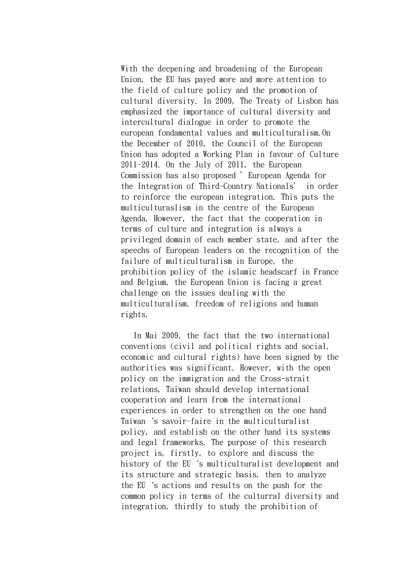With the deepening and broadening of the European Union, the EU has payed more and more attention to the field of culture policy and the promotion of cultural diversity. In 2009, The Treaty of Lisbon has emphasized the importance of cultural diversity and intercultural dialogue in order to promote the european fondamental values and multiculturalism.On the December of 2010, the Council of the European Union has adopted a Working Plan in favour of Culture 2011-2014. On the July of 2011, the European Commission has also proposed 'European Agenda for the Integration of Third-Country Nationals' in order to reinforce the european integration. This puts the multiculturaslism in the centre of the European Agenda. However, the fact that the cooperation in terms of culture and integration is always a privileged domain of each member state, and after the speechs of European leaders on the recognition of the failure of multiculturalism in Europe, the prohibition policy of the islamic headscarf in France and Belgium, the European Union is facing a great challenge on the issues dealing with the multiculturalism, freedom of religions and human rights.

 In Mai 2009, the fact that the two international conventions (civil and political rights and social, economic and cultural rights) have been signed by the authorities was significant. However, with the open policy on the immigration and the Cross-strait relations, Taiwan should develop international cooperation and learn from the international experiences in order to strengthen on the one hand Taiwan`s savoir-faire in the multiculturalist policy, and establish on the other hand its systems and legal frameworks. The purpose of this research project is, firstly, to explore and discuss the history of the EU 's multiculturalist development and its structure and strategic basis, then to analyze the EU 's actions and results on the push for the common policy in terms of the culturral diversity and integration, thirdly to study the prohibition of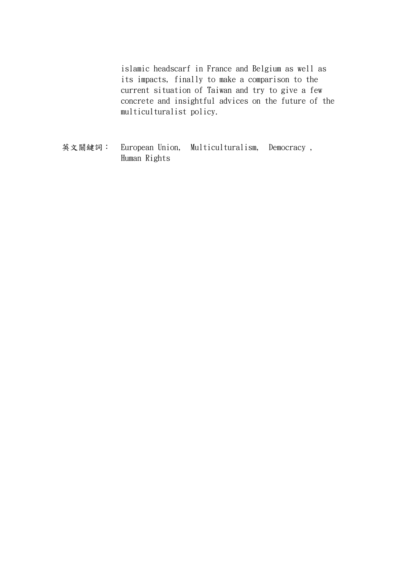islamic headscarf in France and Belgium as well as its impacts, finally to make a comparison to the current situation of Taiwan and try to give a few concrete and insightful advices on the future of the multiculturalist policy.

英文關鍵詞: European Union, Multiculturalism, Democracy , Human Rights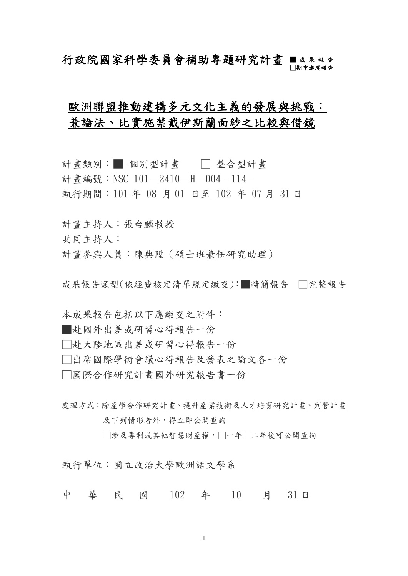# 行政院國家科學委員會補助專題研究計畫 ■ 成 果 報 告

## 歐洲聯盟推動建構多元文化主義的發展與挑戰: 兼論法、比實施禁戴伊斯蘭面紗之比較與借鏡

計畫類別:■ 個別型計畫 □ 整合型計畫 計書編號:NSC 101-2410-H-004-114-執行期間:101 年 08 月 01 日至 102 年 07 月 31 日

計畫主持人:張台麟教授

共同主持人:

計畫參與人員:陳典陞(碩士班兼任研究助理)

成果報告類型(依經費核定清單規定繳交):■精簡報告 □完整報告

本成果報告包括以下應繳交之附件:

■赴國外出差或研習心得報告一份

□赴大陸地區出差或研習心得報告一份

□出席國際學術會議心得報告及發表之論文各一份

□國際合作研究計畫國外研究報告書一份

處理方式:除產學合作研究計畫、提升產業技術及人才培育研究計畫、列管計畫

及下列情形者外,得立即公開查詢

□涉及專利或其他智慧財產權,□一年□二年後可公開查詢

執行單位:國立政治大學歐洲語文學系

中 華 民 國 102 年 10 月 31日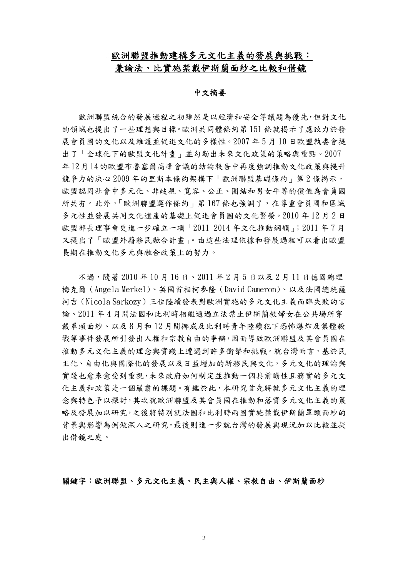## 歐洲聯盟推動建構多元文化主義的發展與挑戰:

### 兼論法、比實施禁戴伊斯蘭面紗之比較和借鏡

#### 中文摘要

 歐洲聯盟統合的發展過程之初雖然是以經濟和安全等議題為優先,但對文化 的領域也提出了一些理想與目標。歐洲共同體條約第 151 條就揭示了應致力於發 展會員國的文化以及維護並促進文化的多樣性。2007 年 5 月 10 日歐盟執委會提 出了「全球化下的歐盟文化計畫」並勾勒出未來文化政策的策略與重點。2007 年 12月 14的歐盟布魯塞爾高峰會議的結論報告中再度強調推動文化政策與提升 競爭力的決心 2009年的里斯本條約架構下「歐洲聯盟基礎條約」第2條揭示, 歐盟認同社會中多元化、非歧視、寬容、公正、團結和男女平等的價值為會員國 所共有。此外,「歐洲聯盟運作條約」第167條也強調了,在尊重會員國和區域 多元性並發展共同文化遺產的基礎上促進會員國的文化繁榮。2010 年 12月2日 歐盟部長理事會更進一步確立一項「2011-2014年文化推動綱領」;2011年7月 又提出了「歐盟外籍移民融合計畫」。由這些法理依據和發展過程可以看出歐盟 長期在推動文化多元與融合政策上的努力。

不過,隨著 2010 年 10 月 16 日、2011 年 2 月 5 日以及 2 月 11 日德國總理 梅克爾(Angela Merkel)、英國首相柯麥隆(David Cameron)、以及法國總統薩 柯吉(Nicola Sarkozy)三位陸續發表對歐洲實施的多元文化主義面臨失敗的言 論、2011 年 4 月間法國和比利時相繼通過立法禁止伊斯蘭教婦女在公共場所穿 戴罩頭面紗、以及 8 月和 12 月間挪威及比利時青年陸續犯下恐怖爆炸及集體殺 戮等事件發展所引發出人權和宗教自由的爭辯,因而導致歐洲聯盟及其會員國在 推動多元文化主義的理念與實踐上遭遇到許多衝擊和挑戰。就台灣而言,基於民 主化、自由化與國際化的發展以及日益增加的新移民與文化,多元文化的理論與 實踐也愈來愈受到重視,未來政府如何制定並推動一個具前瞻性且務實的多元文 化主義和政策是一個嚴肅的課題。有鑑於此,本研究首先將就多元文化主義的理 念與特色予以探討,其次就歐洲聯盟及其會員國在推動和落實多元文化主義的策 略及發展加以研究,之後將特別就法國和比利時兩國實施禁戴伊斯蘭罩頭面紗的 背景與影響為例做深入之研究,最後則進一步就台灣的發展與現況加以比較並提 出借鏡之處。

關鍵字:歐洲聯盟、多元文化主義、民主與人權、宗教自由、伊斯蘭面紗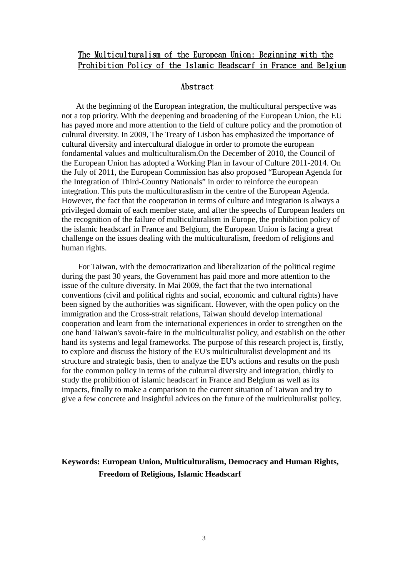## The Multiculturalism of the European Union: Beginning with the Prohibition Policy of the Islamic Headscarf in France and Belgium

#### Abstract

At the beginning of the European integration, the multicultural perspective was not a top priority. With the deepening and broadening of the European Union, the EU has payed more and more attention to the field of culture policy and the promotion of cultural diversity. In 2009, The Treaty of Lisbon has emphasized the importance of cultural diversity and intercultural dialogue in order to promote the european fondamental values and multiculturalism.On the December of 2010, the Council of the European Union has adopted a Working Plan in favour of Culture 2011-2014. On the July of 2011, the European Commission has also proposed "European Agenda for the Integration of Third-Country Nationals" in order to reinforce the european integration. This puts the multiculturaslism in the centre of the European Agenda. However, the fact that the cooperation in terms of culture and integration is always a privileged domain of each member state, and after the speechs of European leaders on the recognition of the failure of multiculturalism in Europe, the prohibition policy of the islamic headscarf in France and Belgium, the European Union is facing a great challenge on the issues dealing with the multiculturalism, freedom of religions and human rights.

 For Taiwan, with the democratization and liberalization of the political regime during the past 30 years, the Government has paid more and more attention to the issue of the culture diversity. In Mai 2009, the fact that the two international conventions (civil and political rights and social, economic and cultural rights) have been signed by the authorities was significant. However, with the open policy on the immigration and the Cross-strait relations, Taiwan should develop international cooperation and learn from the international experiences in order to strengthen on the one hand Taiwan's savoir-faire in the multiculturalist policy, and establish on the other hand its systems and legal frameworks. The purpose of this research project is, firstly, to explore and discuss the history of the EU's multiculturalist development and its structure and strategic basis, then to analyze the EU's actions and results on the push for the common policy in terms of the culturral diversity and integration, thirdly to study the prohibition of islamic headscarf in France and Belgium as well as its impacts, finally to make a comparison to the current situation of Taiwan and try to give a few concrete and insightful advices on the future of the multiculturalist policy.

## **Keywords: European Union, Multiculturalism, Democracy and Human Rights, Freedom of Religions, Islamic Headscarf**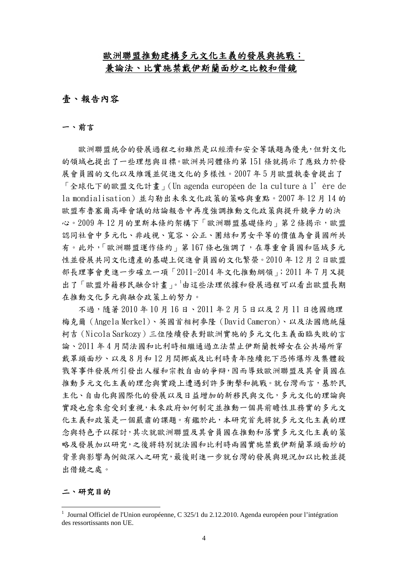## 歐洲聯盟推動建構多元文化主義的發展與挑戰: 兼論法、比實施禁戴伊斯蘭面紗之比較和借鏡

### 壹、報告內容

#### 一、前言

歐洲聯盟統合的發展過程之初雖然是以經濟和安全等議題為優先,但對文化 的領域也提出了一些理想與目標。歐洲共同體條約第 151 條就揭示了應致力於發 展會員國的文化以及維護並促進文化的多樣性。2007 年 5 月歐盟執委會提出了 「全球化下的歐盟文化計畫」(Un agenda européen de la culture à l'ère de la mondialisation)並勾勒出未來文化政策的策略與重點。2007 年 12 月 14 的 歐盟布魯塞爾高峰會議的結論報告中再度強調推動文化政策與提升競爭力的決 心。2009年12月的里斯本條約架構下「歐洲聯盟基礎條約」第2條揭示,歐盟 認同社會中多元化、非歧視、寬容、公正、團結和男女平等的價值為會員國所共 有。此外,「歐洲聯盟運作條約」第 167 條也強調了,在尊重會員國和區域多元 性並發展共同文化遺產的基礎上促進會員國的文化繁榮。2010 年 12 月 2 日歐盟 部長理事會更進一步確立一項「2011-2014 年文化推動綱領」;2011 年 7 月又提 出了「歐盟外籍移民融合計畫」。由這些法理依據和發展過程可以看出歐盟長期 在推動文化多元與融合政策上的努力。

不過,隨著 2010 年 10 月 16 日、2011 年 2 月 5 日以及 2 月 11 日德國總理 梅克爾(Angela Merkel)、英國首相柯麥隆(David Cameron)、以及法國總統薩 柯吉(Nicola Sarkozy)三位陸續發表對歐洲實施的多元文化主義面臨失敗的言 論、2011 年 4 月間法國和比利時相繼通過立法禁止伊斯蘭教婦女在公共場所穿 載罩頭面紗、以及8月和12月間挪威及比利時青年陸續犯下恐怖爆炸及集體殺 戮等事件發展所引發出人權和宗教自由的爭辯,因而導致歐洲聯盟及其會員國在 推動多元文化主義的理念與實踐上遭遇到許多衝擊和挑戰。就台灣而言,基於民 主化、自由化與國際化的發展以及日益增加的新移民與文化,多元文化的理論與 實踐也愈來愈受到重視,未來政府如何制定並推動一個具前瞻性且務實的多元文 化主義和政策是一個嚴肅的課題。有鑑於此,本研究首先將就多元文化主義的理 念與特色予以探討,其次就歐洲聯盟及其會員國在推動和落實多元文化主義的策 略及發展加以研究,之後將特別就法國和比利時兩國實施禁戴伊斯蘭罩頭面紗的 背景與影響為例做深入之研究,最後則進一步就台灣的發展與現況加以比較並提 出借鏡之處。

#### 二、研究目的

<u>.</u>

<sup>&</sup>lt;sup>1</sup> Journal Officiel de l'Union européenne, C 325/1 du 2.12.2010. Agenda européen pour l'intégration des ressortissants non UE.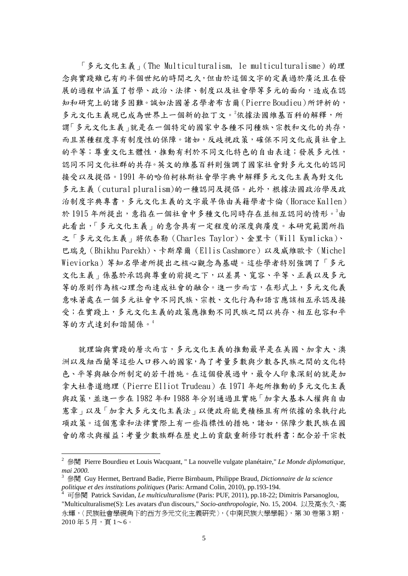「多元文化主義」(The Multiculturalism, le multiculturalisme)的理 念與實踐雖已有約半個世紀的時間之久,但由於這個文字的定義過於廣泛且在發 展的過程中涵蓋了哲學、政治、法律、制度以及社會學等多元的面向,造成在認 知和研究上的諸多困難。誠如法國著名學者布吉爾(Pierre Boudieu)所評析的, 多元文化主義現已成為世界上一個新的拉丁文。<sup>2</sup>依據法國維基百科的解釋,所 謂「多元文化主義」就是在一個特定的國家中各種不同種族、宗教和文化的共存, 而且某種程度享有制度性的保障。諸如,反歧視政策,確保不同文化成員社會上 的平等;尊重文化主體性,推動有利於不同文化特色的自由表達;發展多元性, 認同不同文化社群的共存。英文的維基百科則強調了國家社會對多元文化的認同 接受以及提倡。1991 年的哈伯柯林斯社會學字典中解釋多元文化主義為對文化 多元主義(cutural pluralism)的一種認同及提倡。此外,根據法國政治學及政 治制度字典專書,多元文化主義的文字最早係由美籍學者卡倫(Horace Kallen) 於1915年所提出,意指在一個社會中多種文化同時存在並相互認同的情形。<sup>3</sup>由 此看出,「多元文化主義」的意含具有一定程度的深度與廣度。本研究範圍所指 之「多元文化主義」將依泰勒(Charles Taylor)、金里卡(Will Kymlicka)、 巴瑞克(Bhikhu Parekh)、卡斯摩爾(Ellis Cashmore)以及威維歐卡(Michel Wieviorka)等知名學者所提出之核心觀念為基礎。這些學者特別強調了「多元 文化主義」係基於承認與尊重的前提之下,以差異、寬容、平等、正義以及多元 等的原則作為核心理念而達成社會的融合。進一步而言,在形式上,多元文化義 意味著處在一個多元社會中不同民族、宗教、文化行為和語言應該相互承認及接 受;在實踐上,多元文化主義的政策應推動不同民族之間以共存、相互包容和平 等的方式達到和諧關係。4

 就理論與實踐的層次而言,多元文化主義的推動最早是在美國、加拿大、澳 洲以及紐西蘭等這些人口移入的國家,為了考量多數與少數各民族之間的文化特 色、平等與融合所制定的若干措施。在這個發展過中,最令人印象深刻的就是加 拿大杜魯道總理(Pierre Elliot Trudeau)在 1971 年起所推動的多元文化主義 與政策,並進一步在 1982 年和 1988 年分別通過且實施「加拿大基本人權與自由 憲章」以及「加拿大多元文化主義法」以便政府能更積極且有所依據的來執行此 項政策。這個憲章和法律實際上有一些指標性的措施,諸如,保障少數民族在國 會的席次與權益;考量少數族群在歷史上的貢獻重新修訂教科書;配合若干宗教

<u>.</u>

<sup>2</sup> 參閱 Pierre Bourdieu et Louis Wacquant, " La nouvelle vulgate planétaire," *Le Monde diplomatique, mai 2000.* 

<sup>3</sup> 參閱 Guy Hermet, Bertrand Badie, Pierre Birnbaum, Philippe Braud, *Dictionnaire de la science politique et des institutions politiques* (Paris: Armand Colin, 2010), pp.193-194.

<sup>4</sup> 可參閱 Patrick Savidan, *Le multiculturalisme* (Paris: PUF, 2011), pp.18-22; Dimitris Parsanoglou, "Multiculturalisme(S): Les avatars d'un discours," *Socio-anthropologie,* No. 15, 2004. 以及高永久、高 永輝,〈民族社會學視角下的西方多元文化主義研究〉,《中南民族大學學報》,第 30 卷第 3 期,  $2010$ 年5月,百1~6。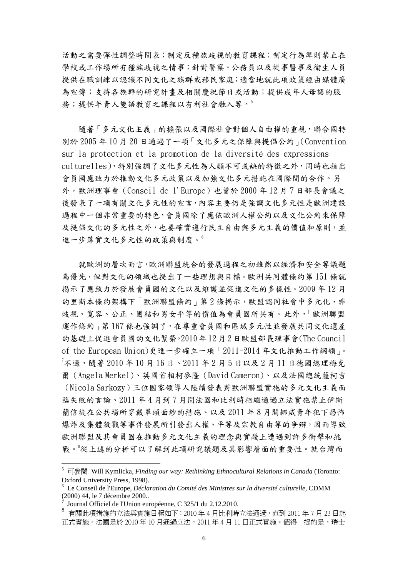活動之需要彈性調整時間表;制定反種族歧視的教育課程;制定行為準則禁止在 學校或工作場所有種族歧視之情事;針對警察、公務員以及從事醫事及衛生人員 提供在職訓練以認識不同文化之族群或移民家庭;適當地就此項政策經由媒體廣 為宣傳;支持各族群的研究計畫及相關慶祝節日或活動;提供成年人母語的服 務;提供年青人雙語教育之課程以有利社會融入等。

隨著「多元文化主義」的擴張以及國際社會對個人自由權的重視,聯合國特 別於 2005 年 10 月 20 日通過了一項「文化多元之保障與提倡公約」(Convention sur la protection et la promotion de la diversité des expressions culturelles),特別強調了文化多元性為人類不可或缺的特徵之外,同時也指出 會員國應致力於推動文化多元政策以及加強文化多元措施在國際間的合作。另 外,歐洲理事會(Conseil de l'Europe)也曾於 2000 年 12 月 7 日部長會議之 後發表了一項有關文化多元性的宣言,內容主要仍是強調文化多元性是歐洲建設 過程中一個非常重要的特色,會員國除了應依歐洲人權公約以及文化公約來保障 及提倡文化的多元性之外,也要確實遵行民主自由與多元主義的價值和原則,並 進一步落實文化多元性的政策與制度。

就歐洲的層次而言,歐洲聯盟統合的發展過程之初雖然以經濟和安全等議題 為優先,但對文化的領域也提出了一些理想與目標。歐洲共同體條約第 151 條就 揭示了應致力於發展會員國的文化以及維護並促進文化的多樣性。2009 年 12 月 的里斯本條約架構下「歐洲聯盟條約」第2條揭示,歐盟認同社會中多元化、非 歧視、寬容、公正、團結和男女平等的價值為會員國所共有。此外,「歐洲聯盟 運作條約」第 167 條也強調了,在尊重會員國和區域多元性並發展共同文化遺產 的基礎上促進會員國的文化繁榮。2010 年 12 月 2 日歐盟部長理事會(The Council of the European Union)更進一步確立一項「2011-2014 年文化推動工作綱領」。 7 不過,隨著 2010 年 10 月 16 日、2011 年 2 月 5 日以及 2 月 11 日德國總理梅克 爾(Angela Merkel)、英國首相柯麥隆(David Cameron)、以及法國總統薩柯吉 (Nicola Sarkozy)三位國家領導人陸續發表對歐洲聯盟實施的多元文化主義面 臨失敗的言論、2011 年 4 月到 7 月間法國和比利時相繼通過立法實施禁止伊斯 蘭信徒在公共場所穿戴罩頭面紗的措施、以及 2011 年 8 月間挪威青年犯下恐怖 爆炸及集體殺戮等事件發展所引發出人權、平等及宗教自由等的爭辯,因而導致 歐洲聯盟及其會員國在推動多元文化主義的理念與實踐上遭遇到許多衝擊和挑 戰。為從上述的分析可以了解到此項研究議題及其影響層面的重要性。就台灣而

<sup>5</sup> 可參閱 Will Kymlicka, *Finding our way: Rethinking Ethnocultural Relations in Canada* (Toronto: Oxford University Press, 1998).

<sup>6</sup> Le Conseil de l'Europe, *Déclaration du Comité des Ministres sur la diversité culturelle*, CDMM (2000) 44, le 7 décembre 2000..

<sup>7</sup> Journal Officiel de l'Union européenne, C 325/1 du 2.12.2010.

有關此項措施的立法與實施日程如下: 2010年4月比利時立法通過, 直到 2011年7月 23 日起 正式實施。法國是於 2010 年 10 月通過立法,2011 年 4 月 11 日正式實施。值得一提的是,瑞士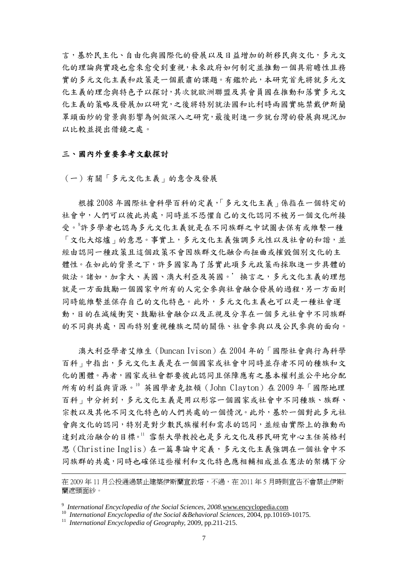言,基於民主化、自由化與國際化的發展以及日益增加的新移民與文化,多元文 化的理論與實踐也愈來愈受到重視,未來政府如何制定並推動一個具前瞻性且務 實的多元文化主義和政策是一個嚴肅的課題。有鑑於此,本研究首先將就多元文 化主義的理念與特色予以探討,其次就歐洲聯盟及其會員國在推動和落實多元文 化主義的策略及發展加以研究,之後將特別就法國和比利時兩國實施禁戴伊斯蘭 罩頭面紗的背景與影響為例做深入之研究,最後則進一步就台灣的發展與現況加 以比較並提出借鏡之處。

#### 三、國內外重要參考文獻探討

(一)有關「多元文化主義」的意含及發展

 根據 2008 年國際社會科學百科的定義,「多元文化主義」係指在一個特定的 社會中,人們可以彼此共處,同時並不恐懼自己的文化認同不被另一個文化所接 受。 許多學者也認為多元文化主義就是在不同族群之中試圖去保有或維繫一種 「文化大熔爐」的意思。事實上,多元文化主義強調多元性以及社會的和諧,並 經由認同一種政策且這個政策不會因族群文化融合而扭曲或摧毀個別文化的主 體性。在如此的背景之下,許多國家為了落實此項多元政策而採取進一步具體的 做法。諸如,加拿大、美國、澳大利亞及英國。'換言之,多元文化主義的理想 就是一方面鼓勵一個國家中所有的人完全參與社會融合發展的過程,另一方面則 同時能維繫並保存自己的文化特色。此外,多元文化主義也可以是一種社會運 動,目的在減緩衝突、鼓勵社會融合以及正視及分享在一個多元社會中不同族群 的不同與共處,因而特別重視種族之間的關係、社會參與以及公民參與的面向。

 澳大利亞學者艾維生(Duncan Ivison)在 2004 年的「國際社會與行為科學 百科」中指出,多元文化主義是在一個國家或社會中同時並存者不同的種族和文 化的團體。再者,國家或社會都要彼此認同且保障應有之基本權利並公平地分配 所有的利益與資源。10 英國學者克拉頓(John Clayton)在 2009 年「國際地理 百科」中分析到,多元文化主義是用以形容一個國家或社會中不同種族、族群、 宗教以及其他不同文化特色的人們共處的一個情況。此外,基於一個對此多元社 會與文化的認同,特別是對少數民族權利和需求的認同,並經由實際上的推動而 達到政治融合的目標。11 雪梨大學教授也是多元文化及移民研究中心主任英格利 思(Christine Inglis)在一篇專論中定義,多元文化主義強調在一個社會中不 同族群的共處,同時也確保這些權利和文化特色應相輔相成並在憲法的架構下分

在 2009 年 11 月公投通過禁止建築伊斯蘭宣教塔,不過,在 2011 年 5 月時則宣告不會禁止伊斯 蘭遮頭面紗。

<sup>&</sup>lt;sup>9</sup> International Encyclopedia of the Social Sciences, 2008.<u>www.encyclopedia.com</u><br><sup>10</sup> International Encyclopedia of the Social &Behavioral Sciences, 2004, pp.10169-10175.<br><sup>11</sup> International Encyclopedia of Geography, 20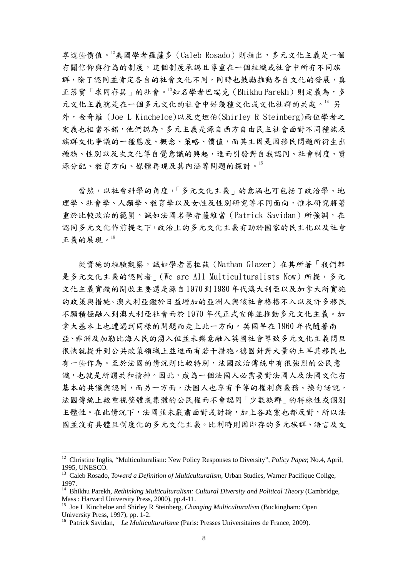享這些價值。12美國學者羅薩多(Caleb Rosado)則指出,多元文化主義是一個 有關信仰與行為的制度,這個制度承認且尊重在一個組織或社會中所有不同族 群,除了認同並肯定各自的社會文化不同,同時也鼓勵推動各自文化的發展,真 正落實「求同存異」的社會。 $^{13}$ 知名學者巴瑞克(Bhikhu Parekh)則定義為,多 元文化主義就是在一個多元文化的社會中好幾種文化或文化社群的共處。14 另 外,金奇羅 (Joe L Kincheloe)以及史坦伯(Shirley R Steinberg)兩位學者之 定義也相當不錯,他們認為,多元主義是源自西方自由民主社會面對不同種族及 族群文化爭議的一種態度、概念、策略、價值,而其主因是因移民問題所衍生出 種族、性別以及次文化等自覺意識的興起,進而引發對自我認同、社會制度、資 源分配、教育方向、媒體再現及其內涵等問題的探討。15

當然,以社會科學的角度,「多元文化主義」的意涵也可包括了政治學、地 理學、社會學、人類學、教育學以及女性及性別研究等不同面向,惟本研究將著 重於比較政治的範圍。誠如法國名學者薩維當(Patrick Savidan)所強調,在 認同多元文化作前提之下,政治上的多元文化主義有助於國家的民主化以及社會 正義的展現。16

 從實施的經驗觀察,誠如學者葛拉茲(Nathan Glazer)在其所著「我們都 是多元文化主義的認同者」(We are All Multiculturalists Now)所提,多元 文化主義實踐的開啟主要還是源自 1970到 1980年代澳大利亞以及加拿大所實施 的政策與措施。澳大利亞鑑於日益增加的亞洲人與該社會格格不入以及許多移民 不願積極融入到澳大利亞社會而於 1970 年代正式宣佈並推動多元文化主義。加 拿大基本上也遭遇到同樣的問題而走上此一方向。英國早在 1960 年代隨著南 亞、非洲及加勒比海人民的湧入但並未樂意融入英國社會導致多元文化主義問旦 很快就提升到公共政策領域上並進而有若干措施。德國針對大量的土耳其移民也 有一些作為。至於法國的情況則比較特別,法國政治傳統中有很強烈的公民意 識,也就是所謂共和精神。因此,成為一個法國人必需要對法國人及法國文化有 基本的共識與認同,而另一方面,法國人也享有平等的權利與義務。換句話說, 法國傳統上較重視整體或集體的公民權而不會認同「少數族群」的特殊性或個別 主體性。在此情況下,法國並未嚴肅面對或討論,加上各政黨也都反對,所以法 國並沒有具體且制度化的多元文化主義。比利時則因即存的多元族群、語言及文

<sup>12</sup> Christine Inglis, "Multiculturalism: New Policy Responses to Diversity", *Policy Paper,* No.4, April, 1995, UNESCO.

<sup>&</sup>lt;sup>13</sup> Caleb Rosado, *Toward a Definition of Multiculturalism*, Urban Studies, Warner Pacifique Collge, 1997.

<sup>14</sup> Bhikhu Parekh, *Rethinking Multiculturalism: Cultural Diversity and Political Theory* (Cambridge, Mass : Harvard University Press, 2000), pp.4-11.<br><sup>15</sup> Joe L Kincheloe and Shirley R Steinberg, *Changing Multiculturalism* (Buckingham: Open

University Press, 1997), pp. 1-2.

<sup>&</sup>lt;sup>16</sup> Patrick Savidan, *Le Multiculturalisme* (Paris: Presses Universitaires de France, 2009).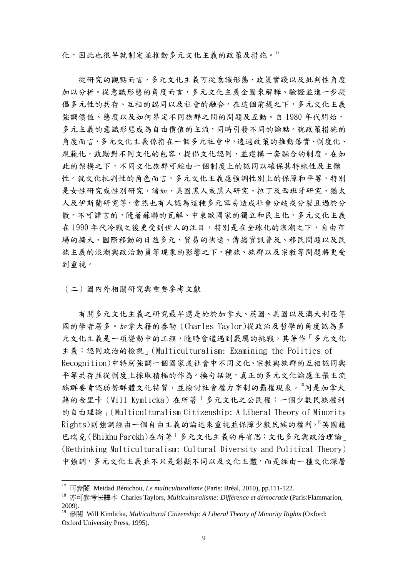化,因此也很早就制定並推動多元文化主義的政策及措施。17

 從研究的觀點而言,多元文化主義可從意識形態、政策實踐以及批判性角度 加以分析。從意識形態的角度而言,多元文化主義企圖來解釋、驗證並進一步提 倡多元性的共存、互相的認同以及社會的融合。在這個前提之下,多元文化主義 強調價值、熊度以及如何界定不同族群之間的問題及互動。自1980年代開始, 多元主義的意識形態成為自由價值的主流,同時引發不同的論點。就政策措施的 角度而言,多元文化主義係指在一個多元社會中,透過政策的推動落實、制度化、 規範化,鼓勵對不同文化的包容,提倡文化認同,並建構一套融合的制度。在如 此的架構之下,不同文化族群可經由一個制度上的認同以確保其特殊性及主體 性。就文化批判性的角色而言,多元文化主義應強調性別上的保障和平等,特別 是女性研究或性別研究,諸如,美國黑人或黑人研究、拉丁及西班牙研究、猶太 人及伊斯蘭研究等,當然也有人認為這種多元容易造成社會分歧或分裂且過於分 散。不可諱言的,隨著蘇聯的瓦解、中東歐國家的獨立和民主化,多元文化主義 在1990年代冷戰之後更受到世人的注目,特別是在全球化的浪潮之下,自由市 場的擴大、國際移動的日益多元、貿易的快速、傳播資訊普及、移民問題以及民 族主義的浪潮與政治動員等現象的影響之下,種族、族群以及宗教等問題將更受 到重視。

(二)國內外相關研究與重要參考文獻

<u>.</u>

有關多元文化主義之研究最早還是始於加拿大、英國、美國以及澳大利亞等 國的學者居多。加拿大籍的泰勒(Charles Taylor)從政治及哲學的角度認為多 元文化主義是一項變動中的工程,隨時會遭遇到嚴厲的挑戰。其著作「多元文化 主義:認同政治的檢視」(Multiculturalism: Examining the Politics of Recognition)中特別強調一個國家或社會中不同文化、宗教與族群的互相認同與 平等共存並從制度上採取積極的作為。換句話說,真正的多元文化論應主張主流 族群要肯認弱勢群體文化特質,並檢討社會權力宰制的覇權現象。18同是加拿大 藉的金里卡(Will Kymlicka)在所著「多元文化之公民權:一個少數民族權利 的自由理論」(Multiculturalism Citizenship: A Liberal Theory of Minority Rights)則強調經由一個自由主義的論述來重視並保障少數民族的權利。19英國藉 巴瑞克(Bhikhu Parekh)在所著「多元文化主義的再省思:文化多元與政治理論」 (Rethinking Multiculturalism: Cultural Diversity and Political Theory) 中強調,多元文化主義並不只是彰顯不同以及文化主體,而是經由一種文化深層

<sup>17</sup> 可參閱 Meidad Bénichou, *Le multiculturalisme* (Paris: Bréal, 2010), pp.111-122.

<sup>18</sup> 亦可參考法譯本 Charles Taylors, *Multiculturalisme: Différence et démocratie* (Paris:Flammarion, 2009).

<sup>19</sup> 參閱 Will Kimlicka, *Multicultural Citizenship: A Liberal Theory of Minority Rights* (Oxford: Oxford University Press, 1995).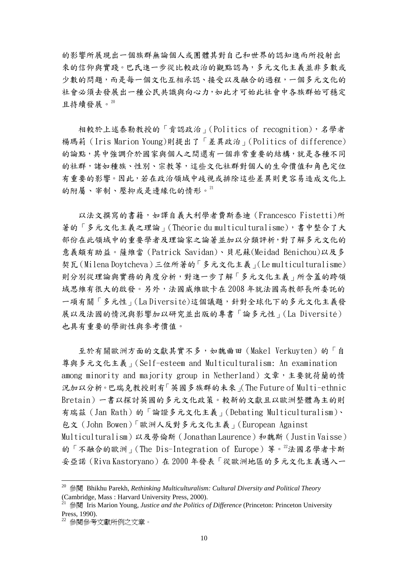的影響所展現出一個族群無論個人或團體其對自己和世界的認知進而所投射出 來的信仰與實踐。巴氏進一步從比較政治的觀點認為,多元文化主義並非多數或 少數的問題,而是每一個文化互相承認、接受以及融合的過程,一個多元文化的 社會必須去發展出一種公民共識與向心力,如此才可始此社會中各族群始可穩定 且持續發展。20

 相較於上述泰勒教授的「肯認政治」(Politics of recognition),名學者 楊瑪莉(Iris Marion Young)則提出了「差異政治」(Politics of difference) 的論點,其中強調介於國家與個人之間還有一個非常重要的結構,就是各種不同 的社群,諸如種族、性別、宗教等,這些文化社群對個人的生命價值和角色定位 有重要的影響。因此,若在政治領域中歧視或排除這些差異則更容易造成文化上 的附屬、宰制、壓抑或是邊緣化的情形。21

 以法文撰寫的書籍,如譯自義大利學者費斯泰迪(Francesco Fistetti)所 著的「多元文化主義之理論」(Théorie du multiculturalisme),書中整合了大 部份在此領域中的重要學者及理論家之論著並加以分類評析,對了解多元文化的 意義頗有助益。薩維當(Patrick Savidan)、貝尼蘇(Meidad Bénichou)以及多 契瓦(Milena Doytcheva)三位所著的「多元文化主義」(Le multiculturalisme) 則分別從理論與實務的角度分析,對進一步了解「多元文化主義」所含蓋的跨領 域思維有很大的啟發。另外,法國威維歐卡在 2008 年就法國高教部長所委託的 一項有關「多元性」(La Diversité)這個議題,針對全球化下的多元文化主義發 展以及法國的情況與影響加以研究並出版的專書「論多元性」(La Diversité) 也具有重要的學術性與參考價值。

 至於有關歐洲方面的文獻其實不多,如魏曲田(Makel Verkuyten)的「自 尊與多元文化主義」(Self-esteem and Multiculturalism: An examination among minority and majority group in Netherland)文章,主要就荷蘭的情 況加以分析。巴瑞克教授則有「英國多族群的未來」(The Future of Multi-ethnic Bretain)一書以探討英國的多元文化政策。較新的文獻且以歐洲整體為主的則 有瑞茲(Jan Rath)的「論證多元文化主義」(Debating Multiculturalism)、 包文(John Bowen)「歐洲人反對多元文化主義」(European Against Multiculturalism)以及勞倫斯(Jonathan Laurence)和魏斯(Justin Vaisse) 的「不融合的歐洲」(The Dis-Integration of Europe) 等。22法國名學者卡斯 妥亞諾(Riva Kastoryano)在 2000 年發表「從歐洲地區的多元文化主義邁入一

<u>.</u>

<sup>20</sup> 參閱 Bhikhu Parekh, *Rethinking Multiculturalism: Cultural Diversity and Political Theory* (Cambridge, Mass : Harvard University Press, 2000).

<sup>21</sup> 參閱 Iris Marion Young, *Justice and the Politics of Difference* (Princeton: Princeton University Press, 1990).

<sup>22</sup> 參閱參考文獻所例之文章。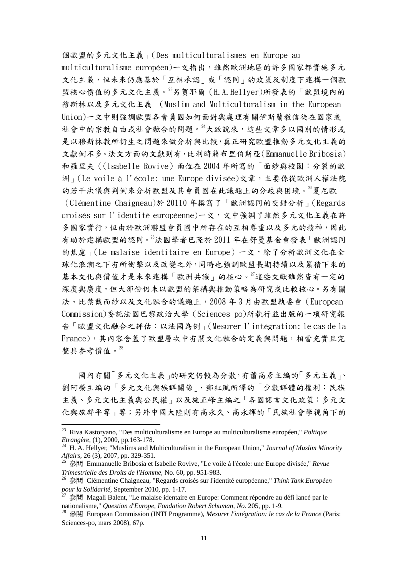個歐盟的多元文化主義」(Des multiculturalismes en Europe au multiculturalisme européen)一文指出,雖然歐洲地區的許多國家都實施多元 文化主義,但未來仍應基於「互相承認」或「認同」的政策及制度下建構一個歐 盟核心價值的多元文化主義。23另賀耶爾(H.A.Hellyer)所發表的「歐盟境內的 穆斯林以及多元文化主義」(Muslim and Multiculturalism in the European Union)一文中則強調歐盟各會員國如何面對與處理有關伊斯蘭教信徒在國家或 社會中的宗教自由或社會融合的問題。24大致說來,這些文章多以國別的情形或 是以穆斯林教所衍生之問題來做分析與比較,真正研究歐盟推動多元文化主義的 文獻倒不多。法文方面的文獻則有,比利時籍布里伯斯亞(Emmanuelle Bribosia) 和羅里夫((Isabelle Rovive)兩位在 2004 年所寫的「面紗與校園:分裂的歐 洲」(Le voile à l'école: une Europe divisée)文章,主要係從歐洲人權法院 的若干決議與判例來分析歐盟及其會員國在此議題上的分歧與困境。25夏尼歐

(Clémentine Chaigneau)於 20110 年撰寫了「歐洲認同的交錯分析」(Regards croisés sur l'identité européenne)一文,文中強調了雖然多元文化主義在許 多國家實行,但由於歐洲聯盟會員國中所存在的互相尊重以及多元的精神,因此 有助於建構歐盟的認同。26法國學者巴隆於 2011 年在舒曼基金會發表「歐洲認同 的焦慮」(Le malaise identitaire en Europe)一文,除了分析歐洲文化在全 球化浪潮之下有所衝擊以及改變之外,同時也強調歐盟長期持續以及累積下來的 基本文化與價值才是未來建構「歐洲共識」的核心。27這些文獻雖然皆有一定的 深度與廣度,但大部份仍未以歐盟的架構與推動策略為研究或比較核心。另有關 法、比禁戴面紗以及文化融合的議題上,2008 年 3 月由歐盟執委會(European Commission)委託法國巴黎政治大學(Sciences-po)所執行並出版的一項研究報 告「歐盟文化融合之評估:以法國為例」(Mesurer l'intégration: le cas de la France),其內容含蓋了歐盟層次中有關文化融合的定義與問題,相當充實且完 整具參考價值。28

 國內有關「多元文化主義」的研究仍較為分散,有蕭高彥主編的「多元主義」、 劉阿榮主編的「多元文化與族群關係」、鄧紅風所譯的「少數群體的權利:民族 主義、多元文化主義與公民權」以及施正峰主編之「各國語言文化政策:多元文 化與族群平等」等;另外中國大陸則有高永久、高永輝的「民族社會學視角下的

<sup>23</sup> Riva Kastoryano, "Des multiculturalisme en Europe au multiculturalisme européen," *Poltique* 

*Etrangère*, (1), 2000, pp.163-178.<br><sup>24</sup> H. A. Hellyer, "Muslims and Multiculturalism in the European Union," *Journal of Muslim Minority Affairs*, 26 (3), 2007, pp. 329-351.

<sup>&</sup>lt;sup>25</sup> 參閱 Emmanuelle Bribosia et Isabelle Rovive, "Le voile à l'école: une Europe divisée," *Revue* 

*Trimestrielle des Droits de l'Homme,* No. 60, pp. 951-983. 26 參閱 Clémentine Chaigneau, "Regards croisés sur l'identité européenne," *Think Tank Européen* 

<sup>&</sup>lt;sup>27</sup> 參閱 Magali Balent, "Le malaise identaire en Europe: Comment répondre au défi lancé par le nationalisme," *Question d'Europe, Fondation Robert Schuman, No.* 205, pp. 1-9.<br><sup>28</sup> 參閱 European Commission (INTI Programme), *Mesurer l'intégration: le cas de la France* (Paris:

Sciences-po, mars 2008), 67p.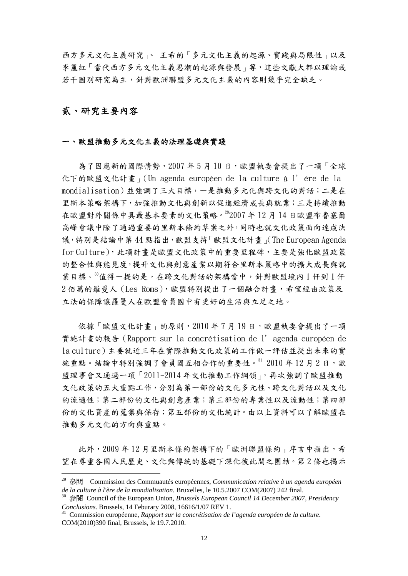西方多元文化主義研究」、 王希的「多元文化主義的起源、實踐與局限性」以及 李麗紅「當代西方多元文化主義思潮的起源與發展」等,這些文獻大都以理論或 若干國別研究為主,針對歐洲聯盟多元文化主義的內容則幾乎完全缺乏。

## 貳、研究主要內容

1

### 一、歐盟推動多元文化主義的法理基礎與實踐

為了因應新的國際情勢,2007年5月10日,歐盟執委會提出了一項「全球 化下的歐盟文化計畫」(Un agenda européen de la culture à l'ère de la mondialisation)並強調了三大目標,一是推動多元化與跨文化的對話;二是在 里斯本策略架構下,加強推動文化與創新以促進經濟成長與就業;三是持續推動 在歐盟對外關係中具最基本要素的文化策略。292007 年 12 月 14 日歐盟布魯塞爾 高峰會議中除了通過重要的里斯本條約草案之外,同時也就文化政策面向達成決 議,特別是結論中第 44 點指出,歐盟支持「歐盟文化計畫」(The European Agenda for Culture), 此項計書是歐盟文化政策中的重要里程碑, 主要是強化歐盟政策 的整合性與能見度,提升文化與創意產業以期符合里斯本策略中的擴大成長與就 業目標。30值得一提的是,在跨文化對話的架構當中,針對歐盟境內 1 仟到 1 仟 2 佰萬的羅曼人(Les Roms),歐盟特別提出了一個融合計畫,希望經由政策及 立法的保障讓羅曼人在歐盟會員國中有更好的生活與立足之地。

依據「歐盟文化計書」的原則,2010年7月19日,歐盟執委會提出了一項 實施計畫的報告(Rapport sur la concrétisation de l'agenda européen de la culture)主要就近三年在實際推動文化政策的工作做一評估並提出未來的實 施重點。結論中特別強調了會員國互相合作的重要性。31 2010年12 月 2 日,歐 盟理事會又通過一項「2011-2014 年文化推動工作綱領」,再次強調了歐盟推動 文化政策的五大重點工作,分別為第一部份的文化多元性、跨文化對話以及文化 的流通性;第二部份的主義創意產業;第三部份的專業性以及流動性;第四部 份的文化資產的蒐集與保存;第五部份的文化統計。由以上資料可以了解歐盟在 推動多元文化的方向與重點。

此外,2009年12月里斯本條約架構下的「歐洲聯盟條約」序言中指出,希 望在尊重各國人民歷史、文化與傳統的基礎下深化彼此間之團結。第 2 條也揭示

<sup>29</sup> 參閱 Commission des Commuautés européennes, *Communication relative à un agenda européen de la culture à l'ère de la mondialisation.* Bruxelles, le 10.5.2007 COM(2007) 242 final. 30 參閱 Council of the European Union, *Brussels European Council 14 December 2007, Presidency* 

*Conclusions.* Brussels, 14 Feburary 2008, 16616/1/07 REV 1. 31 Commission européenne, *Rapport sur la concrétisation de l'agenda européen de la culture.*

COM(2010)390 final, Brussels, le 19.7.2010.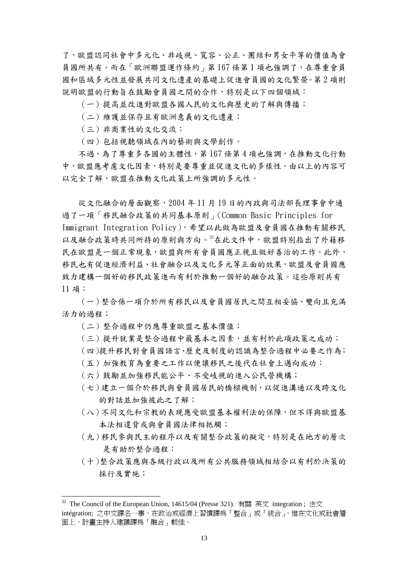了,歐盟認同社會中多元化、非歧視、寬容、公正、團結和男女平等的價值為會 員國所共有。而在「歐洲聯盟運作條約」第 167 條第 1 項也強調了,在尊重會員 國和區域多元性並發展共同文化遺產的基礎上促進會員國的文化繁榮。第 2 項則 說明歐盟的行動旨在鼓勵會員國之間的合作,特別是以下四個領域:

(一)提高並改進對歐盟各國人民的文化與歷史的了解與傳播;

(二)維護並保存且有歐洲意義的文化遺產;

(三)非商業性的文化交流;

(四)包括視聽領域在內的藝術與文學創作。

不過,為了尊重多各國的主體性,第 167 條第 4 項也強調,在推動文化行動 中,歐盟應考慮文化因素,特別是要尊重並促進文化的多樣性。由以上的內容可 以完全了解,歐盟在推動文化政策上所強調的多元性。

從文化融合的層面觀察,2004 年 11 月 19 日的內政與司法部長理事會中通 過了一項「移民融合政策的共同基本原則」(Common Basic Principles for Immigrant Integration Policy),希望以此做為歐盟及會員國在推動有關移民 以及融合政策時共同所持的原則與方向。32在此文件中,歐盟特別指出了外籍移 民在歐盟是一個正常現象,歐盟與所有會員國應正視且做好善治的工作。此外, 移民也有促進經濟利益、社會融合以及文化多元等正面的效果,歐盟及會員國應 致力建構一個好的移民政策進而有利於推動一個好的融合政策。這些原則共有 11 項:

(一)整合係一項介於所有移民以及會員國居民之間互相妥協、雙向且充滿 活力的過程;

(二)整合過程中仍應尊重歐盟之基本價值;

1

(三)提升就業是整合過程中最基本之因素,並有利於此項政策之成功;

(四)提升移民對會員國語言、歷史及制度的認識為整合過程中必要之作為;

- (五)加強教育為重要之工作以便讓移民之後代在社會上邁向成功;
- (六)鼓勵並加強移民能公平、不受岐視的進入公民營機構;
- (七)建立一個介於移民與會員國居民的橋樑機制,以促進溝通以及跨文化 的對話並加強彼此之了解;
- (八)不同文化和宗教的表現應受歐盟基本權利法的保障,但不得與歐盟基 本法相違背或與會員國法律相抵觸;
- (九)移民參與民主的程序以及有關整合政策的擬定,特別是在地方的層次 是有助於整合過程;
- (十)整合政策應與各級行政以及所有公共服務領域相結合以有利於決策的 採行及實施;

 $32$  The Council of the European Union, 14615/04 (Presse 321). 有關 英文 integration; 法文 intégration; 之中文譯名一事,在政治或經濟上習慣譯為「整合」或「統合」,惟在文化或社會層 面上,計畫主持人建議譯為「融合」較佳。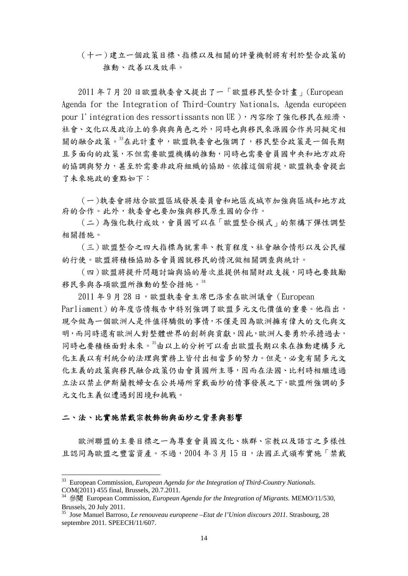## (十一)建立一個政策目標、指標以及相關的評量機制將有利於整合政策的 推動、改善以及效率。

2011 年 7 月 20 日歐盟執委會又提出了一「歐盟移民整合計畫」(European Agenda for the Integration of Third-Country Nationals, Agenda européen pour l'intégration des ressortissants non UE),内容除了強化移民在經濟、 社會、文化以及政治上的參與與角色之外,同時也與移民來源國合作共同擬定相 關的融合政策。33在此計畫中,歐盟執委會也強調了,移民整合政策是一個長期 且多面向的政策,不但需要歐盟機構的推動,同時也需要會員國中央和地方政府 的協調與努力,甚至於需要非政府組織的協助。依據這個前提,歐盟執委會提出 了未來施政的重點如下:

(一)執委會將結合歐盟區域發展委員會和地區或城市加強與區域和地方政 府的合作。此外,執委會也要加強與移民原生國的合作。

 (二)為強化執行成效,會員國可以在「歐盟整合模式」的架構下彈性調整 相關措施。

 (三)歐盟整合之四大指標為就業率、教育程度、社會融合情形以及公民權 的行使。歐盟將積極協助各會員國就移民的情況做相關調查與統計。

 (四)歐盟將提升問題討論與協的層次並提供相關財政支援,同時也要鼓勵 移民參與各項歐盟所推動的整合措施。34

 $2011 - 49$  月  $28$  日, 歐盟執委會主席巴洛索在歐洲議會 (European Parliament)的年度咨情報告中特別強調了歐盟多元文化價值的重要。他指出, 現今做為一個歐洲人是件值得驕傲的事情,不僅是因為歐洲擁有偉大的文化與文 明,而同時還有歐洲人對整體世界的創新與貢獻,因此,歐洲人要勇於承擔過去, 同時也要積極面對未來。35由以上的分析可以看出歐盟長期以來在推動建構多元 化主義以有利統合的法理與實務上皆付出相當多的努力。但是,必竟有關多元文 化主義的政策與移民融合政策仍由會員國所主導,因而在法國、比利時相繼透過 立法以禁止伊斯蘭教婦女在公共場所穿戴面紗的情事發展之下,歐盟所強調的多 元文化主義似遭遇到困境和挑戰。

#### 二、法、比實施禁戴宗教飾物與面紗之背景與影響

1

 歐洲聯盟的主要目標之一為尊重會員國文化、族群、宗教以及語言之多樣性 且認同為歐盟之豐富資產。不過,2004 年 3 月 15 日,法國正式頒布實施「禁戴

<sup>33</sup> European Commission, *European Agenda for the Integration of Third-Country Nationals.* COM(2011) 455 final, Brussels, 20.7.2011.

<sup>34</sup> 參閱 European Commission, *European Agenda for the Integration of Migrants.* MEMO/11/530, Brussels, 20 July 2011.

<sup>35</sup> Jose Manuel Barroso, *Le renouveau europeene –Etat de l'Union dixcours 2011*. Strasbourg, 28 septembre 2011. SPEECH/11/607.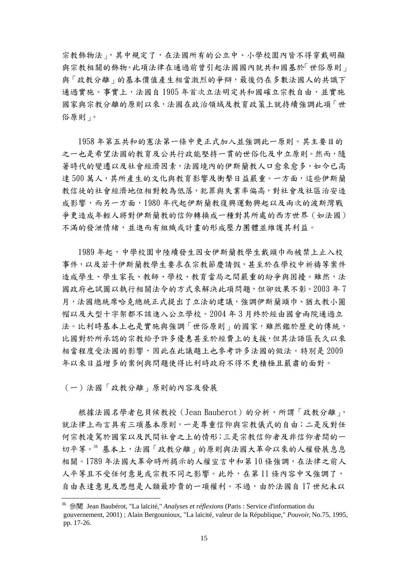宗教飾物法」,其中規定了,在法國所有的公立中、小學校園內皆不得穿戴明顯 與宗教相關的飾物。此項法律在通過前曾引起法國國內就共和國基於「世俗原則」 與「政教分離」的基本價值產生相當激烈的爭辯,最後仍在多數法國人的共識下 通過實施。事實上,法國自1905年首次立法明定共和國確立宗教自由,並實施 國家與宗教分離的原則以來,法國在政治領域及教育政策上就持續強調此項「世 俗原則」。

1958 年第五共和的憲法第一條中更正式加入並強調此一原則。其主要目的 之一也是希望法國的教育及公共行政能堅持一貫的世俗化及中立原則。然而,隨 著時代的變遷以及社會經濟因素,法國境內的伊斯蘭教人口愈來愈多,如今已高 達500萬人,其所產生的文化與教育影響及衝擊日益嚴重。一方面,這些伊斯蘭 教信徒的社會經濟地位相對較為低落,犯罪與失業率偏高,對社會及社區治安造 成影響,而另一方面,1980年代起伊斯蘭教復興運動興起以及兩次的波斯灣戰 爭更造成年輕人將對伊斯蘭教的信仰轉換成一種對其所處的西方世界(如法國) 不滿的發泄情緒,並進而有組織或計畫的形成壓力團體並維護其利益。

1989年起,中學校園中陸續發生因女伊斯蘭教學生戴頭巾而被禁上止入校 事件,以及若干伊斯蘭教學生要求在宗教節慶請假,甚至於在學校中祈禱等案件 造成學生、學生家長、教師、學校、教育當局之間嚴重的紛爭與困擾。雖然,法 國政府也試圖以執行相關法令的方式來解決此項問題,但卻效果不彰。2003 年 7 月,法國總統席哈克總統正式提出了立法的建議,強調伊斯蘭頭巾、猶太教小圓 帽以及大型十字架都不該進入公立學校。2004 年 3 月終於經由國會兩院通過立 法。比利時基本上也是實施與強調「世俗原則」的國家,雖然鑑於歷史的傳統, 比國對於所承認的宗教給予許多優惠甚至於經費上的支援,但其法語區長久以來 相當程度受法國的影響,因此在此議題上也參考許多法國的做法。特別是 2009 年以來日益增多的案例與問題使得比利時政府不得不更積極且嚴肅的面對。

(一)法國「政教分離」原則的內容及發展

1

 根據法國名學者包貝候教授(Jean Baubérot)的分析,所謂「政教分離」, 就法律上而言具有三項基本原則,一是尊重信仰與宗教儀式的自由;二是反對任 何宗教凌駕於國家以及民間社會之上的情形;三是宗教信仰者及非信仰者間的一 切平等。36 基本上,法國「政教分離」的原則與法國大革命以來的人權發展息息 相關。1789 年法國大革命時所揭示的人權宣言中和第 10 條強調,在法律之前人 人平等且不受任何意見或宗教不同之影響。此外,在第 11 條內容中又強調了, 自由表達意見及思想是人類最珍貴的一項權利。不過,由於法國自 17 世紀未以

<sup>36</sup> 參閱 Jean Baubérot, "La laïcité," *Analyses et réflexions* (Paris : Service d'information du gouvernement, 2001) ; Alain Bergounioux, "La laïcité, valeur de la République," *Pouvoir,* No.75, 1995, pp. 17-26.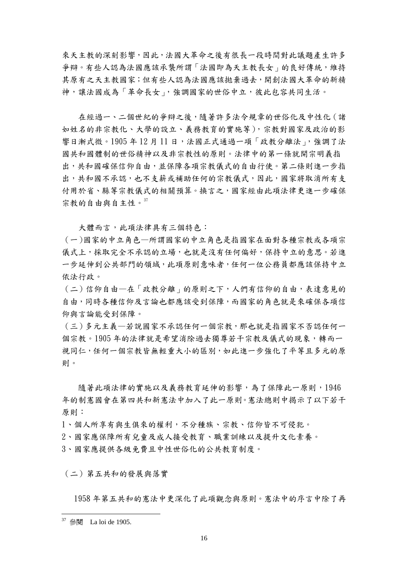來天主教的深刻影響,因此,法國大革命之後有很長一段時間對此議題產生許多 爭辯。有些人認為法國應該承襲所謂「法國即為天主教長女」的良好傳統,維持 其原有之天主教國家;但有些人認為法國應該拋棄過去,開創法國大革命的新精 神,讓法國成為「革命長女」,強調國家的世俗中立,彼此包容共同生活。

在經過一、二個世紀的爭辯之後,隨著許多法今規章的世俗化及中性化(諸 如姓名的非宗教化、大學的設立、義務教育的實施等),宗教對國家及政治的影 響日漸式微。1905年12月11日,法國正式通過一項「政教分離法」,強調了法 國共和國體制的世俗精神以及非宗教性的原則。法律中的第一條就開宗明義指 出,共和國確保信仰自由,並保障各項宗教儀式的自由行使。第二條則進一步指 出,共和國不承認,也不支薪或補助任何的宗教儀式,因此,國家將取消所有支 付用於省、縣等宗教儀式的相關預算。換言之,國家經由此項法律更進一步確保 宗教的自由與自主性。37

大體而言,此項法律具有三個特色:

(一)國家的中立角色—所謂國家的中立角色是指國家在面對各種宗教或各項宗 儀式上,採取完全不承認的立場,也就是沒有任何偏好,保持中立的意思。若進 一步延伸到公共部門的領域,此項原則意味者,任何一位公務員都應該保持中立 依法行政。

(二)信仰自由—在「政教分離」的原則之下,人們有信仰的自由,表達意見的 自由,同時各種信仰及言論也都應該受到保障,而國家的角色就是來確保各項信 仰與言論能受到保障。

(三)多元主義—若說國家不承認任何一個宗教,那也就是指國家不否認任何一 個宗教。1905 年的法律就是希望消除過去獨尊若干宗教及儀式的現象,轉而一 視同仁,任何一個宗教皆無輕重大小的區別,如此進一步強化了平等且多元的原 則。

隨著此項法律的實施以及義務教育延伸的影響,為了保障此一原則,1946 年的制憲國會在第四共和新憲法中加入了此一原則。憲法總則中揭示了以下若干 原則:

1、個人所享有與生俱來的權利,不分種族、宗教、信仰皆不可侵犯。

2、國家應保障所有兒童及成人接受教育、職業訓練以及提升文化素養。

3、國家應提供各級免費且中性世俗化的公共教育制度。

(二)第五共和的發展與落實

1958 年第五共和的憲法中更深化了此項觀念與原則。憲法中的序言中除了再

<sup>37</sup> 參閱 La loi de 1905.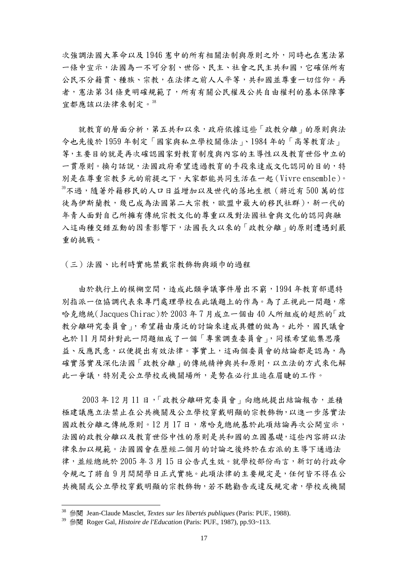次強調法國大革命以及 1946 憲中的所有相關法制與原則之外,同時也在憲法第 一條中宣示,法國為一不可分割、世俗、民主、社會之民主共和國,它確保所有 公民不分籍貫、種族、宗教,在法律之前人人平等,共和國並尊重一切信仰。再 者, 憲法第 34 條更明確規範了, 所有有關公民權及公共自由權利的基本保障事 宜都應該以法律來制定。38

 就教育的層面分析,第五共和以來,政府依據這些「政教分離」的原則與法 令也先後於 1959 年制定「國家與私立學校關係法」、1984 年的「高等教育法」 等,主要目的就是再次確認國家對教育制度與內容的主導性以及教育世俗中立的 一貫原則。換句話說,法國政府希望透過教育的手段來達成文化認同的目的,特 別是在尊重宗教多元的前提之下,大家都能共同生活在一起(Vivre ensemble)。  $39$ 不過,隨著外籍移民的人口日益增加以及世代的落地生根(將近有500萬的信 徒為伊斯蘭教,幾已成為法國第二大宗教,歐盟中最大的移民社群),新一代的 年青人面對自己所擁有傳統宗教文化的尊重以及對法國社會與文化的認同與融 入這兩種交錯互動的因素影響下,法國長久以來的「政教分離」的原則遭遇到嚴 重的挑戰。

(三)法國、比利時實施禁戴宗教飾物與頭巾的過程

由於執行上的模糊空間,造成此類爭議事件層出不窮,1994年教育部還特 別指派一位協調代表來專門處理學校在此議題上的作為。為了正視此一間題,席 哈克總統(Jacques Chirac)於 2003 年 7 月成立一個由 40 人所組成的超然的「政 教分離研究委員會」,希望藉由廣泛的討論來達成具體的做為。此外,國民議會 也於 11 月間針對此一問題組成了一個「專案調查委員會」,同樣希望能集思廣 益、反應民意,以便提出有效法律。事實上,這兩個委員會的結論都是認為,為 確實落實及深化法國「政教分離」的傳統精神與共和原則,以立法的方式來化解 此一爭議,特別是公立學校或機關場所,是勢在必行且迫在眉睫的工作。

 2003 年 12 月 11 日,「政教分離研究委員會」向總統提出結論報告,並積 極建議應立法禁止在公共機關及公立學校穿戴明顯的宗教飾物,以進一步落實法 國政教分離之傳統原則。12月17日,席哈克總統基於此項結論再次公開宣示, 法國的政教分離以及教育世俗中性的原則是共和國的立國基礎,這些內容將以法 律來加以規範。法國國會在歷經二個月的討論之後終於在右派的主導下通過法 律,並經總統於 2005 年 3 月 15 日公告式生效。就學校部份而言,新訂的行政命 令規之了將自9月間開學日正式實施。此項法律的主要規定是,任何皆不得在公 共機關或公立學校穿戴明顯的宗教飾物,若不聽勸告或違反規定者,學校或機關

<u>.</u>

<sup>38</sup> 參閱 Jean-Claude Masclet, *Textes sur les libertés publiques* (Paris: PUF., 1988).

<sup>39</sup> 參閱 Roger Gal*, Histoire de l'Education* (Paris: PUF., 1987), pp.93~113.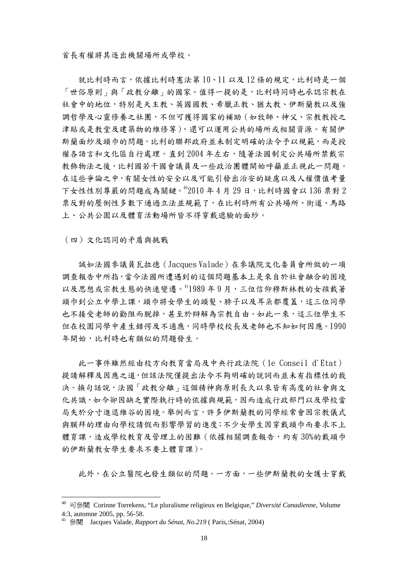首長有權將其逐出機關場所或學校。

就比利時而言,依據比利時憲法第10、11以及12條的規定,比利時是一個 「世俗原則」與「政教分離」的國家。值得一提的是,比利時同時也承認宗教在 社會中的地位,特別是天主教、英國國教、希臘正教、猶太教、伊斯蘭教以及強 調哲學及心靈修養之社團,不但可獲得國家的補助(如牧師、神父、宗教教授之 津貼或是教堂及建築物的維修等),還可以運用公共的場所或相關資源。有關伊 斯蘭面紗及頭巾的問題,比利的聯邦政府並未制定明確的法令予以規範,而是授 權各語言和文化區自行處理。直到 2004 年左右,隨著法國制定公共場所禁載宗 教飾物法之後,比利國若干國會議員及一些政治團體開始呼籲並正視此一問題。 在這些爭論之中,有關女性的安全以及可能引發出治安的疑慮以及人權價值考量 下女性性別尊嚴的問題成為關鍵。402010年4月29日,比利時國會以136票對2 票反對的壓倒性多數下通過立法並規範了,在比利時所有公共場所、街道、馬路 上、公共公園以及體育活動場所皆不得穿戴遮臉的面紗。

(四)文化認同的矛盾與挑戰

1

 誠如法國參議員瓦拉德(Jacques Valade)在參議院文化委員會所做的一項 調查報告中所指,當今法國所遭遇到的這個問題基本上是來自於社會融合的困境 以及思想或宗教生態的快速變遷。41989年9月,三位信仰穆斯林教的女孩戴著 頭巾到公立中學上課,頭巾將女學生的頭髮、脖子以及耳朵都覆蓋,這三位同學 也不接受老師的勸阻而脫掉,甚至於辯解為宗教自由。如此一來,這三位學生不 但在校園同學中產生錯愕及不適應,同時學校校長及老師也不知如何因應。1990 年開始,比利時也有類似的問題發生。

此一事件雖然經由校方向教育當局及中央行政法院(le Conseil d'Etat) 提請解釋及因應之道,但該法院僅提出法令不夠明確的說詞而並未有指標性的裁 決。換句話說,法國「政教分離」這個精神與原則長久以來皆有高度的社會與文 化共識,如今卻因缺乏實際執行時的依據與規範,因而造成行政部門以及學校當 局失於分寸進退維谷的困境。舉例而言,許多伊斯蘭教的同學經常會因宗教儀式 與膜拜的理由向學校請假而影響學習的進度;不少女學生因穿戴頭巾而要求不上 體育課,造成學校教育及管理上的困難(依據相關調查報告,約有 30%的戴頭巾 的伊斯蘭教女學生要求不要上體育課)。

此外,在公立醫院也發生類似的問題。一方面,一些伊斯蘭教的女護士穿戴

<sup>40</sup> 可參閱 Corinne Torrekens, "Le pluralisme religieux en Belgique," *Diversité Canadienne,* Volume 4:3, automne 2005, pp. 56-58.

<sup>&</sup>lt;sup>41</sup> 參閱 Jacques Valade, Rapport du Sénat, No.219 (Paris,:Sénat, 2004)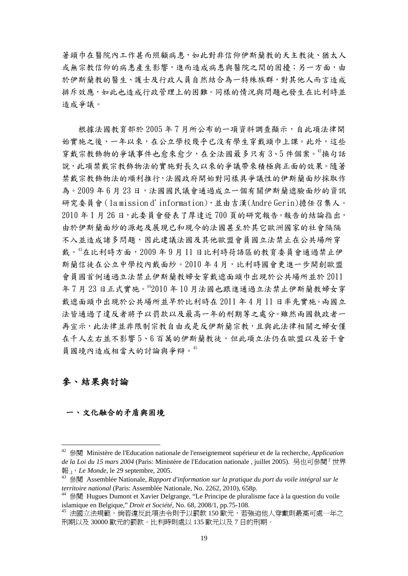著頭巾在醫院內工作甚而照顧病患,如此對非信仰伊斯蘭教的天主教徒、猶太人 或無宗教信仰的病患產生影響,進而造成病患與醫院之間的困擾;另一方面,由 於伊斯蘭教的醫生、護士及行政人員自然結合為一特殊族群,對其他人而言造成 排斥效應,如此也造成行政管理上的困難。同樣的情況與問題也發生在比利時並 造成爭議。

 根據法國教育部於 2005 年 7 月所公布的一項資料調查顯示,自此項法律開 始實施之後,一年以來,在公立學校幾乎已沒有學生穿戴頭巾上課。此外,這些 穿戴宗教飾物的爭議事件也愈來愈少,在全法國最多只有 3、5 件個案。<sup>42</sup>換句話 說,此項禁戴宗教飾物法的實施對長久以來的爭議帶來積極與正面的效果。隨著 禁戴宗教飾物法的順利推行,法國政府開始對同樣具爭議性的伊斯蘭面紗採取作 為。2009年6月23日,法國國民議會通過成立一個有關伊斯蘭遮臉面紗的資訊 研究委員會(la mission d'information),並由吉漢(André Gerin)擔任召集人。 2010 年 1 月 26 日,此委員會發表了厚達近 700 頁的研究報告。報告的結論指出, 由於伊斯蘭面紗的源起及展現已和現今的法國甚至於其它歐洲國家的社會隔隔 不入並造成諸多問題,因此建議法國及其他歐盟會員國立法禁止在公共場所穿 戴。43在比利時方面,2009 年 9 月 11 日比利時荷語區的教育委員會通過禁止伊 斯蘭信徒在公立中學校內戴面紗。2010年4月,比利時國會更進一步開創歐盟 會員國首例通過立法禁止伊斯蘭教婦女穿戴遮面頭巾出現於公共場所並於 2011 年 7 月 23 日正式實施。442010 年 10 月法國也跟進通過立法禁止伊斯蘭教婦女穿 戴遮面頭巾出現於公共場所並早於比利時在 2011 年 4 月 11 日率先實施。兩國立 法皆通過了違反者將予以罰款以及最高一年的刑期等之處分。雖然兩國執政者一 再宣示,此法律並非限制宗教自由或是反伊斯蘭宗教,且與此法律相關之婦女僅 在千人左右並不影響 5、6百萬的伊斯蘭教徒,但此項立法仍在歐盟以及若干會 員國境內造成相當大的討論與爭辯。45

## 參、結果與討論

1

#### 一、文化融合的矛盾與困境

<sup>42</sup> 參閱 Ministère de l'Education nationale de l'enseignement supérieur et de la recherche, *Application de la Loi du 15 mars 2004* (Paris: Ministère de l'Education nationale , juillet 2005). 另也可參閱「世界

報」, *Le Monde*, le 29 septembre, 2005.<br><sup>43</sup> 參閱 Assemblée Nationale, *Rapport d'information sur la pratique du port du voile intégral sur le territoire national (Paris: Assemblée Nationale, No. 2262, 2010). 658p.* 

<sup>&</sup>lt;sup>44</sup> 參閱 Hugues Dumont et Xavier Delgrange, "Le Principe de pluralisme face à la question du voile islamique en Belgique," *Droit et Société*, No. 68, 2008/1, pp.75-108.<br><sup>45</sup> 法國立法規範,倘若違反此項法令則予以罰款 150 歐元,若強迫他人穿戴則最高可處一年之

刑期以及 30000 歐元的罰款。比利時則處以 135 歐元以及 7 日的刑期。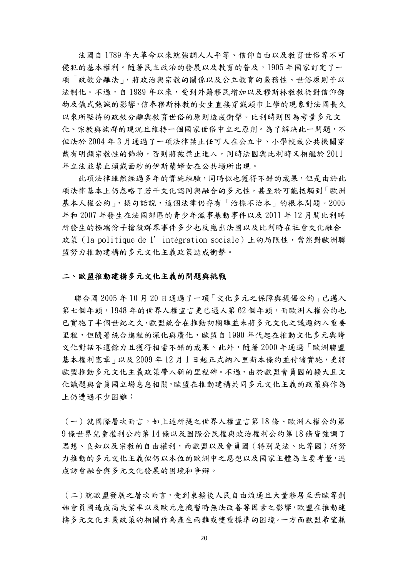法國自 1789 年大革命以來就強調人人平等、信仰自由以及教育世俗等不可 侵犯的基本權利。隨著民主政治的發展以及教育的普及,1905 年國家訂定了一 項「政教分離法」,將政治與宗教的關係以及公立教育的義務性、世俗原則予以 法制化。不過,自 1989 年以來,受到外藉移民增加以及穆斯林教教徒對信仰飾 物及儀式熱誠的影響,信奉穆斯林教的女生直接穿戴頭巾上學的現象對法國長久 以來所堅持的政教分離與教育世俗的原則造成衝擊。比利時則因為考量多元文 化、宗教與族群的現況且維持一個國家世俗中立之原則。為了解決此一問題,不 但法於 2004 年 3 月通過了一項法律禁止任可人在公立中、小學校或公共機關穿 載有明顯宗教性的飾物,否則將被禁止進入,同時法國與比利時又相繼於 2011 年立法並禁止頭戴面紗的伊斯蘭婦女在公共場所出現。

 此項法律雖然經過多年的實施經驗,同時似也獲得不錯的成果,但是由於此 項法律基本上仍忽略了若干文化認同與融合的多元性,甚至於可能抵觸到「歐洲 基本人權公約」,換句話說,這個法律仍存有「治標不治本」的根本問題。2005 年和 2007 年發生在法國郊區的青少年滋事暴動事件以及 2011 年 12 月間比利時 所發生的極端份子槍殺群眾事件多少也反應出法國以及比利時在社會文化融合 政策(la politique de l'intégration sociale)上的局限性,當然對歐洲聯 盟努力推動建構的多元文化主義政策造成衝擊。

#### 二、歐盟推動建構多元文化主義的問題與挑戰

 聯合國 2005 年 10 月 20 日通過了一項「文化多元之保障與提倡公約」已邁入 第七個年頭,1948年的世界人權宣言更已邁人第62個年頭,而歐洲人權公約也 已實施了半個世紀之久,歐盟統合在推動初期雖並未將多元文化之議題納入重要 里程,但隨著統合進程的深化與廣化,歐盟自 1990 年代起在推動文化多元與跨 文化對話不遺餘力且獲得相當不錯的成果。此外,隨著 2000 年通過「歐洲聯盟 基本權利憲章」以及 2009年12月1日起正式納入里斯本條約並付諸實施,更將 歐盟推動多元文化主義政策帶入新的里程碑。不過,由於歐盟會員國的擴大且文 化議題與會員國立場息息相關,歐盟在推動建構共同多元文化主義的政策與作為 上仍遭遇不少困難:

(一)就國際層次而言,如上述所提之世界人權宣言第 18 條、歐洲人權公約第 9 條世界兒童權利公約第 14 條以及國際公民權與政治權利公約第 18 條皆強調了 思想、良知以及宗教的自由權利,而歐盟以及會員國(特別是法、比等國)所努 力推動的多元文化主義似仍以本位的歐洲中之思想以及國家主體為主要考量,造 成訪會融合與多元文化發展的困境和爭辯。

(二)就歐盟發展之層次而言,受到東擴後人民自由流通且大量移居至西歐等創 始會員國造成高失業率以及歐元危機暫時無法改善等因素之影響,歐盟在推動建 檮多元文化主義政策的相關作為產生兩難或雙重標準的困境。一方面歐盟希望藉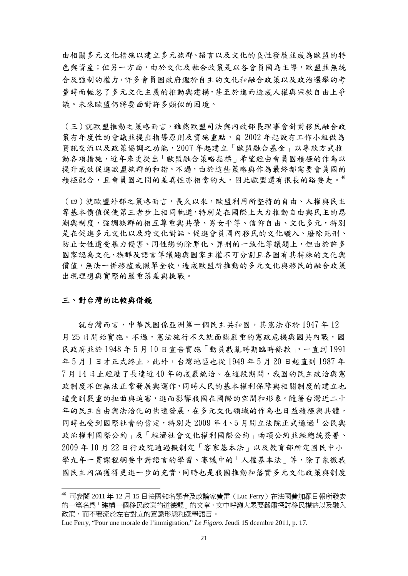由相關多元文化措施以建立多元族群、語言以及文化的良性發展並成為歐盟的特 色與資產;但另一方面,由於文化及融合政策是以各會員國為主導,歐盟並無統 合及強制的權力,許多會員國政府鑑於自主的文化和融合政策以及政治選舉的考 量時而輕忽了多元文化主義的推動與建構,甚至於進而造成人權與宗教自由上爭 議。未來歐盟仍將要面對許多類似的困境。

(三)就歐盟推動之策略而言,雖然歐盟司法與內政部長理事會針對移民融合政 策有年度性的會議並提出指導原則及實施重點,自 2002 年起設有工作小組做為 資訊交流以及政策協調之功能,2007 年起建立「歐盟融合基金」以專款方式推 動各項措施,近年來更提出「歐盟融合策略指標」希望經由會員國積極的作為以 提升成效促進歐盟族群的和諧。不過,由於這些策略與作為最終都需要會員國的 積極配合,且會員國之間的差異性亦相當的大,因此歐盟還有很長的路要走。46

(四)就歐盟外部之策略而言,長久以來,歐盟利用所堅持的自由、人權與民主 等基本價值促使第三者步上相同軌道,特別是在國際上大力推動自由與民主的思 潮與制度,強調族群的相互尊重與共榮、男女平等、信仰自由、文化多元,特別 是在促進多元文化以及跨文化對話、促進會員國內移民的文化鬷入、廢除死刑、 防止女性遭受暴力侵害、同性戀的除罪化、罪刑的一致化等議題上,但由於許多 國家認為文化、族群及語言等議題與國家主權不可分割且各國有其特殊的文化與 價值,無法一併移植或照單全收,造成歐盟所推動的多元文化與移民的融合政策 出現理想與實際的嚴重落差與挑戰。

#### 三、對台灣的比較與借鏡

1

 就台灣而言,中華民國係亞洲第一個民主共和國,其憲法亦於 1947 年 12 月 25 日開始實施。不過,憲法施行不久就面臨嚴重的憲政危機與國共內戰,國 民政府並於 1948 年 5 月 10 日宣告實施「動員戡亂時期臨時條款」,一直到 1991 年5月1 日才正式終止。此外,台灣地區也從 1949 年 5 月 20 日起直到 1987 年 7 月 14 日止經歷了長達近 40 年的戒嚴統治。在這段期間,我國的民主政治與憲 政制度不但無法正常發展與運作,同時人民的基本權利保障與相關制度的建立也 遭受到嚴重的扭曲與迫害,進而影響我國在國際的空間和形象。隨著台灣近二十 年的民主自由與法治化的快速發展,在多元文化領域的作為也日益積極與具體, 同時也受到國際社會的肯定,特別是 2009 年 4、5 月間立法院正式通過「公民與 政治權利國際公約」及「經濟社會文化權利國際公約」兩項公約並經總統簽署、 2009 年 10 月 22 日行政院通過擬制定「客家基本法」以及教育部所定國民中小 學九年一貫課程綱要中對語言的學習、審議中的「人權基本法」等,除了象徵我 國民主內涵獲得更進一步的充實,同時也是我國推動和落實多元文化政策與制度

 $^{46}$  可參閱 2011 年 12 月 15 日法國知名學者及政論家費雷 (Luc Ferry) 在法國費加羅日報所發表 的一篇名為「建構一個移民政策的道德觀」的文章,文中呼籲大眾要嚴肅探討移民權益以及融入 政策,而不要流於左右對立的意識形態和選舉語言。

Luc Ferry, "Pour une morale de l'immigration," *Le Figaro*. Jeudi 15 dcembre 2011, p. 17.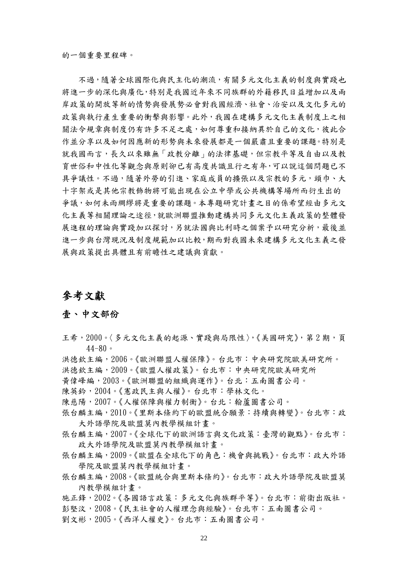的一個重要里程碑。

不過,隨著全球國際化與民主化的潮流,有關多元文化主義的制度與實踐也 將進一步的深化與廣化,特別是我國近年來不同族群的外籍移民日益增加以及兩 岸政策的開放等新的情勢與發展勢必會對我國經濟、社會、治安以及文化多元的 政策與執行產生重要的衝擊與影響。此外,我國在建構多元文化主義制度上之相 關法令規章與制度仍有許多不足之處,如何尊重和接納異於自己的文化,彼此合 作並分享以及如何因應新的形勢與未來發展都是一個嚴肅且重要的課題。特別是 就我國而言,長久以來雖無「政教分離」的法律基礎,但宗教平等及自由以及教 育世俗和中性化等觀念與原則卻已有高度共識且行之有年,可以說這個問題已不 具爭議性。不過,隨著外勞的引進、家庭成員的擴張以及宗教的多元,頭巾、大 十字架或是其他宗教飾物將可能出現在公立中學或公共機構等場所而衍生出的 爭議,如何未雨綢繆將是重要的課題。本專題研究計畫之目的係希望經由多元文 化主義等相關理論之途徑,就歐洲聯盟推動建構共同多元文化主義政策的整體發 展進程的理論與實踐加以探討,另就法國與比利時之個案予以研究分析,最後並 進一步與台灣現況及制度規範加以比較,期而對我國未來建構多元文化主義之發 展與政策提出具體且有前瞻性之建議與貢獻。

## 參考文獻

### 壹、中文部份

- 王希, 2000。〈多元文化主義的起源、實踐與局限性〉, 《美國研究》, 第2期, 頁  $44 - 80$
- 洪德欽主編,2006。《歐洲聯盟人權保障》。台北市:中央研究院歐美研究所。
- 洪德欽主編,2009。《歐盟人權政策》。台北市:中央研究院歐美研究所

黃偉峰編,2003。《歐洲聯盟的組織與運作》。台北:五南圖書公司。

陳英鈐,2004。《憲政民主與人權》。台北市:學林文化。

陳慈陽,2007。《人權保障與權力制衡》。台北:翰蘆圖書公司。

- 張台麟主編, 2010。《里斯本條約下的歐盟統合願景: 持續與轉變》。台北市:政 大外語學院及歐盟莫內教學模組計畫。
- 張台麟主編, 2007。《全球化下的歐洲語言與文化政策: 臺灣的觀點》。台北市: 政大外語學院及歐盟莫內教學模組計畫。
- 張台麟主編, 2009。《歐盟在全球化下的角色:機會與挑戰》。台北市:政大外語 學院及歐盟莫內教學模組計畫。
- 張台麟主編, 2008。《歐盟統合與里斯本條約》。台北市:政大外語學院及歐盟莫 內教學模組計畫。
- 施正鋒,2002。《各國語言政策:多元文化與族群平等》。台北市:前衛出版社。
- 彭堅汶,2008。《民主社會的人權理念與經驗》。台北市:五南圖書公司。
- 劉文彬,2005。《西洋人權史》。台北市:五南圖書公司。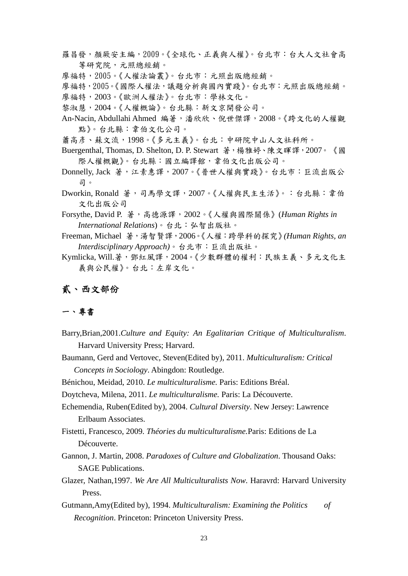- 羅昌發,顏厥安主編,2009。《全球化、正義與人權》。台北市:台大人文社會高 等研究院,元照總經銷。
- 廖福特,2005。《人權法論叢》。台北市:元照出版總經銷。
- 廖福特,2005。《國際人權法,議題分析與國內實踐》。台北市:元照出版總經銷。 廖福特,2003。《歐洲人權法》。台北市:學林文化。
- 黎淑慧, 2004。《人權概論》。台北縣: 新文京開發公司。
- An-Nacin, Abdullahi Ahmed 編著,潘欣欣、倪世傑譯, 2008。《跨文化的人權觀 點》。台北縣:韋伯文化公司。

蕭高彥、蘇文流,1998。《多元主義》。台北:中研院中山人文社科所。

- Buergenthal, Thomas, D. Shelton, D. P. Stewart 著,楊雅婷、陳文暉譯, 2007。《國 際人權概觀》。台北縣:國立編譯館,韋伯文化出版公司。
- Donnelly, Jack 著,江素惠譯, 2007。《普世人權與實踐》。台北市:巨流出版公 司。
- Dworkin, Ronald 著, 司馬學文譯, 2007。《人權與民主生活》。: 台北縣: 韋伯 文化出版公司
- Forsythe, David P. 著,高德源譯,2002。《人權與國際關係》(*Human Rights in International Relations*)。台北:弘智出版社。
- Freeman, Michael 著,湯智賢譯,2006。《人權:跨學科的探究》*(Human Rights, an Interdisciplinary Approach)*。台北市:巨流出版社。
- Kymlicka, Will.著,鄧紅風譯, 2004。《少數群體的權利:民族主義、多元文化主 義與公民權》。台北:左岸文化。

## 貳、西文部份

### 一、專書

- Barry,Brian,2001.*Culture and Equity: An Egalitarian Critique of Multiculturalism*. Harvard University Press; Harvard.
- Baumann, Gerd and Vertovec, Steven(Edited by), 2011. *Multiculturalism: Critical Concepts in Sociology*. Abingdon: Routledge.
- Bénichou, Meidad, 2010. *Le multiculturalisme.* Paris: Editions Bréal.

Doytcheva, Milena, 2011. *Le multiculturalisme.* Paris: La Découverte.

- Echemendia, Ruben(Edited by), 2004. *Cultural Diversity*. New Jersey: Lawrence Erlbaum Associates.
- Fistetti, Francesco, 2009. *Théories du multiculturalisme.*Paris: Editions de La Découverte.
- Gannon, J. Martin, 2008. *Paradoxes of Culture and Globalization*. Thousand Oaks: SAGE Publications.
- Glazer, Nathan,1997. *We Are All Multiculturalists Now*. Haravrd: Harvard University Press.
- Gutmann,Amy(Edited by), 1994. *Multiculturalism: Examining the Politics of Recognition*. Princeton: Princeton University Press.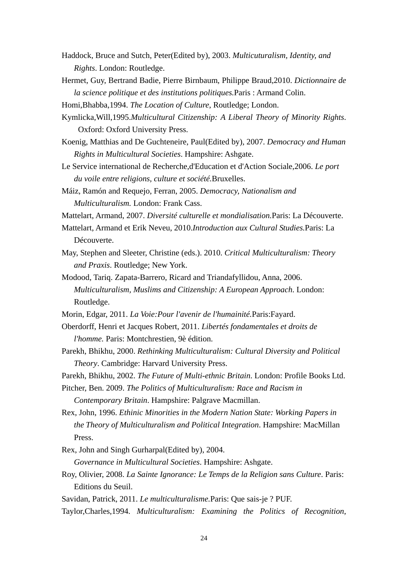- Haddock, Bruce and Sutch, Peter(Edited by), 2003. *Multicuturalism, Identity, and Rights*. London: Routledge.
- Hermet, Guy, Bertrand Badie, Pierre Birnbaum, Philippe Braud,2010. *Dictionnaire de la science politique et des institutions politiques.*Paris : Armand Colin.
- Homi,Bhabba,1994. *The Location of Culture*, Routledge; London.
- Kymlicka,Will,1995.*Multicultural Citizenship: A Liberal Theory of Minority Rights*. Oxford: Oxford University Press.
- Koenig, Matthias and De Guchteneire, Paul(Edited by), 2007. *Democracy and Human Rights in Multicultural Societies*. Hampshire: Ashgate.
- Le Service international de Recherche,d'Education et d'Action Sociale,2006. *Le port du voile entre religions, culture et société.*Bruxelles.
- Máiz, Ramón and Requejo, Ferran, 2005. *Democracy, Nationalism and Multiculturalism.* London: Frank Cass.
- Mattelart, Armand, 2007. *Diversité culturelle et mondialisation.*Paris: La Découverte.
- Mattelart, Armand et Erik Neveu, 2010.*Introduction aux Cultural Studies.*Paris: La Découverte.
- May, Stephen and Sleeter, Christine (eds.). 2010. *Critical Multiculturalism: Theory and Praxis*. Routledge; New York.
- Modood, Tariq. Zapata-Barrero, Ricard and Triandafyllidou, Anna, 2006. *Multiculturalism, Muslims and Citizenship: A European Approach*. London: Routledge.
- Morin, Edgar, 2011. *La Voie:Pour l'avenir de l'humainité.*Paris:Fayard.
- Oberdorff, Henri et Jacques Robert, 2011. *Libertés fondamentales et droits de l'homme.* Paris: Montchrestien, 9è édition.
- Parekh, Bhikhu, 2000. *Rethinking Multiculturalism: Cultural Diversity and Political Theory*. Cambridge: Harvard University Press.
- Parekh, Bhikhu, 2002. *The Future of Multi-ethnic Britain*. London: Profile Books Ltd.

Pitcher, Ben. 2009. *The Politics of Multiculturalism: Race and Racism in Contemporary Britain*. Hampshire: Palgrave Macmillan.

- Rex, John, 1996. *Ethinic Minorities in the Modern Nation State: Working Papers in the Theory of Multiculturalism and Political Integration*. Hampshire: MacMillan Press.
- Rex, John and Singh Gurharpal(Edited by), 2004.

*Governance in Multicultural Societies*. Hampshire: Ashgate.

- Roy, Olivier, 2008. *La Sainte Ignorance: Le Temps de la Religion sans Culture*. Paris: Editions du Seuil.
- Savidan, Patrick, 2011. *Le multiculturalisme.*Paris: Que sais-je ? PUF.
- Taylor,Charles,1994. *Multiculturalism: Examining the Politics of Recognition*,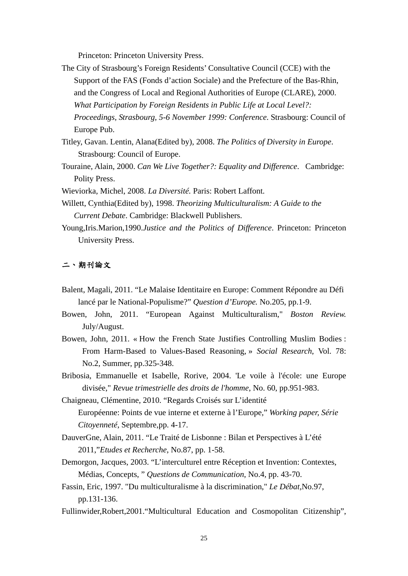Princeton: Princeton University Press.

- The City of Strasbourg's Foreign Residents' Consultative Council (CCE) with the Support of the FAS (Fonds d'action Sociale) and the Prefecture of the Bas-Rhin, and the Congress of Local and Regional Authorities of Europe (CLARE), 2000. *What Participation by Foreign Residents in Public Life at Local Level?: Proceedings, Strasbourg, 5-6 November 1999: Conference*. Strasbourg: Council of Europe Pub.
- Titley, Gavan. Lentin, Alana(Edited by), 2008. *The Politics of Diversity in Europe*. Strasbourg: Council of Europe.
- Touraine, Alain, 2000. *Can We Live Together?: Equality and Difference*. Cambridge: Polity Press.
- Wieviorka, Michel, 2008. *La Diversité.* Paris: Robert Laffont.
- Willett, Cynthia(Edited by), 1998. *Theorizing Multiculturalism: A Guide to the Current Debate*. Cambridge: Blackwell Publishers.
- Young,Iris.Marion,1990.*Justice and the Politics of Difference*. Princeton: Princeton University Press.

### 二、期刊論文

- Balent, Magali, 2011. "Le Malaise Identitaire en Europe: Comment Répondre au Défi lancé par le National-Populisme?" *Question d'Europe.* No.205, pp.1-9.
- Bowen, John, 2011. "European Against Multiculturalism," *Boston Review.*  July/August.
- Bowen, John, 2011. « How the French State Justifies Controlling Muslim Bodies : From Harm-Based to Values-Based Reasoning, » *Social Research*, Vol. 78: No.2, Summer, pp.325-348.
- Bribosia, Emmanuelle et Isabelle, Rorive, 2004. 'Le voile à l'école: une Europe divisée," *Revue trimestrielle des droits de l'homme*, No. 60, pp.951-983.

Chaigneau, Clémentine, 2010. "Regards Croisés sur L'identité Européenne: Points de vue interne et externe à l'Europe," *Working paper, Série Citoyenneté*, Septembre,pp. 4-17.

- DauverGne, Alain, 2011. "Le Traité de Lisbonne : Bilan et Perspectives à L'été 2011,"*Etudes et Recherche*, No.87, pp. 1-58.
- Demorgon, Jacques, 2003. "L'interculturel entre Réception et Invention: Contextes, Médias, Concepts, " *Questions de Communication*, No.4, pp. 43-70.
- Fassin, Eric, 1997. "Du multiculturalisme à la discrimination," *Le Débat,*No.97, pp.131-136.
- Fullinwider,Robert,2001."Multicultural Education and Cosmopolitan Citizenship",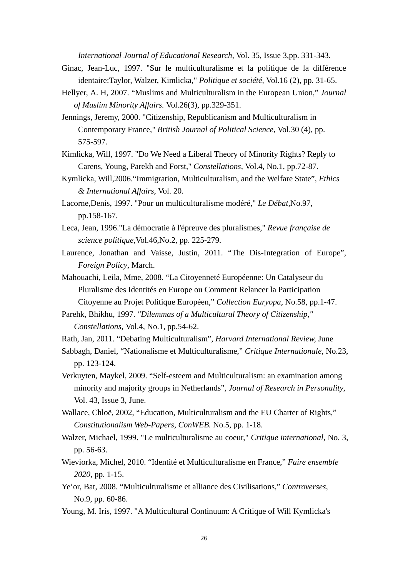*International Journal of Educational Research*, Vol. 35, Issue 3,pp. 331-343.

- Ginac, Jean-Luc, 1997. "Sur le multiculturalisme et la politique de la différence identaire:Taylor, Walzer, Kimlicka," *Politique et société,* Vol.16 (2), pp. 31-65.
- Hellyer, A. H, 2007. "Muslims and Multiculturalism in the European Union," *Journal of Muslim Minority Affairs.* Vol.26(3), pp.329-351.

Jennings, Jeremy, 2000. "Citizenship, Republicanism and Multiculturalism in Contemporary France," *British Journal of Political Science,* Vol.30 (4), pp. 575-597.

Kimlicka, Will, 1997. "Do We Need a Liberal Theory of Minority Rights? Reply to Carens, Young, Parekh and Forst," *Constellations,* Vol.4, No.1, pp.72-87.

Kymlicka, Will,2006."Immigration, Multiculturalism, and the Welfare State", *Ethics & International Affairs*, Vol. 20.

Lacorne,Denis, 1997. "Pour un multiculturalisme modéré," *Le Débat,*No.97, pp.158-167.

Leca, Jean, 1996."La démocratie à l'épreuve des pluralismes," *Revue française de science politique,*Vol.46,No.2, pp. 225-279.

Laurence, Jonathan and Vaisse, Justin, 2011. "The Dis-Integration of Europe", *Foreign Policy*, March.

Mahouachi, Leila, Mme, 2008. "La Citoyenneté Européenne: Un Catalyseur du Pluralisme des Identités en Europe ou Comment Relancer la Participation Citoyenne au Projet Politique Européen," *Collection Euryopa*, No.58, pp.1-47.

Parehk, Bhikhu, 1997. *"Dilemmas of a Multicultural Theory of Citizenship," Constellations,* Vol.4, No.1, pp.54-62.

Rath, Jan, 2011. "Debating Multiculturalism", *Harvard International Review,* June

Sabbagh, Daniel, "Nationalisme et Multiculturalisme," *Critique Internationale*, No.23, pp. 123-124.

- Verkuyten, Maykel, 2009. "Self-esteem and Multiculturalism: an examination among minority and majority groups in Netherlands", *Journal of Research in Personality*, Vol. 43, Issue 3, June.
- Wallace, Chloë, 2002, "Education, Multiculturalism and the EU Charter of Rights," *Constitutionalism Web-Papers, ConWEB.* No.5, pp. 1-18.
- Walzer, Michael, 1999. "Le multiculturalisme au coeur," *Critique international,* No. 3, pp. 56-63.
- Wieviorka, Michel, 2010. "Identité et Multiculturalisme en France," *Faire ensemble 2020*, pp. 1-15.
- Ye'or, Bat, 2008. "Multiculturalisme et alliance des Civilisations," *Controverses*, No.9, pp. 60-86.
- Young, M. Iris, 1997. "A Multicultural Continuum: A Critique of Will Kymlicka's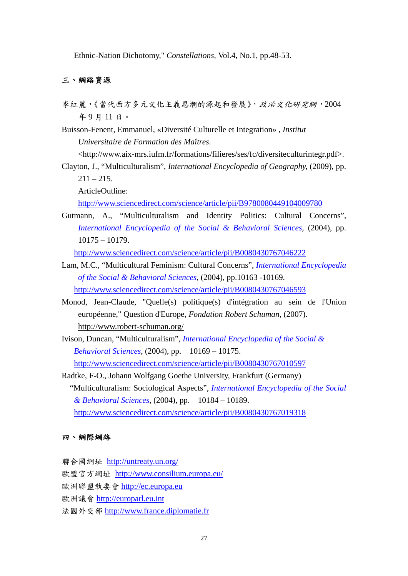Ethnic-Nation Dichotomy," *Constellations,* Vol.4, No.1, pp.48-53.

#### 三、網路資源

- 李紅麗,《當代西方多元文化主義思潮的源起和發展》,政治文化研究網,2004 年 9 月 11 日。
- Buisson-Fenent, Emmanuel, «Diversité Culturelle et Integration» , *Institut Universitaire de Formation des Maîtres*. <http://www.aix-mrs.iufm.fr/formations/filieres/ses/fc/diversiteculturintegr.pdf>.
- Clayton, J., "Multiculturalism", *International Encyclopedia of Geography,* (2009), pp.  $211 - 215.$

ArticleOutline:

http://www.sciencedirect.com/science/article/pii/B9780080449104009780

Gutmann, A., "Multiculturalism and Identity Politics: Cultural Concerns", *International Encyclopedia of the Social & Behavioral Sciences*, (2004), pp. 10175 – 10179.

http://www.sciencedirect.com/science/article/pii/B0080430767046222

- Lam, M.C., "Multicultural Feminism: Cultural Concerns", *International Encyclopedia of the Social & Behavioral Sciences*, (2004), pp.10163 -10169. http://www.sciencedirect.com/science/article/pii/B0080430767046593
- Monod, Jean-Claude, "Quelle(s) politique(s) d'intégration au sein de l'Union européenne," Question d'Europe, *Fondation Robert Schuman,* (2007). http://www.robert-schuman.org/
- Ivison, Duncan, "Multiculturalism", *International Encyclopedia of the Social & Behavioral Sciences*, (2004), pp. 10169 – 10175. http://www.sciencedirect.com/science/article/pii/B0080430767010597
- Radtke, F-O., Johann Wolfgang Goethe University, Frankfurt (Germany) "Multiculturalism: Sociological Aspects", *International Encyclopedia of the Social & Behavioral Sciences*, (2004), pp. 10184 – 10189. http://www.sciencedirect.com/science/article/pii/B0080430767019318

#### 四、網際網路

聯合國網址 http://untreaty.un.org/

歐盟官方網址 http://www.consilium.europa.eu/

- 歐洲聯盟執委會 http://ec.europa.eu
- 歐洲議會 http://europarl.eu.int
- 法國外交部 http://www.france.diplomatie.fr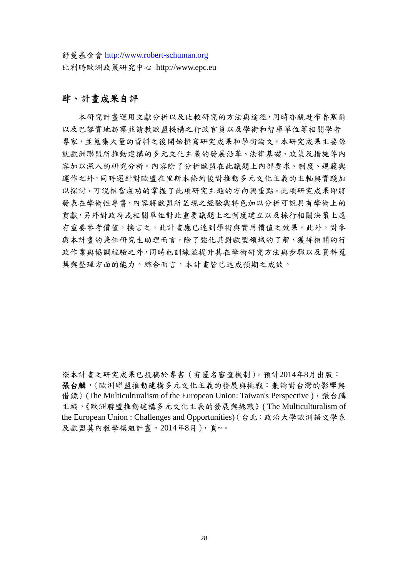舒曼基金會 http://www.robert-schuman.org

比利時歐洲政策研究中心 http://www.epc.eu

## 肆、計畫成果自評

 本研究計畫運用文獻分析以及比較研究的方法與途徑,同時亦親赴布魯塞爾 以及巴黎實地訪察並請教歐盟機構之行政官員以及學術和智庫單位等相關學者 專家,並蒐集大量的資料之後開始撰寫研究成果和學術論文。本研究成果主要係 就歐洲聯盟所推動建構的多元文化主義的發展沿革、法律基礎、政策及措施等內 容加以深入的研究分析。內容除了分析歐盟在此議題上內部要求、制度、規範與 運作之外,同時還針對歐盟在里斯本條約後對推動多元文化主義的主軸與實踐加 以探討,可說相當成功的掌握了此項研究主題的方向與重點。此項研究成果即將 發表在學術性專書,內容將歐盟所呈現之經驗與特色加以分析可說具有學術上的 貢獻,另外對政府或相關單位對此重要議題上之制度建立以及採行相關決策上應 有重要參考價值,換言之,此計畫應已達到學術與實用價值之效果。此外,對參 與本計畫的兼任研究生助理而言,除了強化其對歐盟領域的了解、獲得相關的行 政作業與協調經驗之外,同時也訓練並提升其在學術研究方法與步驟以及資料蒐 集與整理方面的能力。綜合而言,本計書皆已達成預期之成效。

※本計畫之研究成果已投稿於專書(有匿名審查機制),預計2014年8月出版: 張台麟,〈歐洲聯盟推動建構多元文化主義的發展與挑戰:兼論對台灣的影響與 借鏡) (The Multiculturalism of the European Union: Taiwan's Perspective), 張台麟 主編,《歐洲聯盟推動建構多元文化主義的發展與挑戰》( The Multiculturalism of the European Union : Challenges and Opportunities)(台北:政治大學歐洲語文學系 及歐盟莫內教學模組計畫,2014年8月),頁~。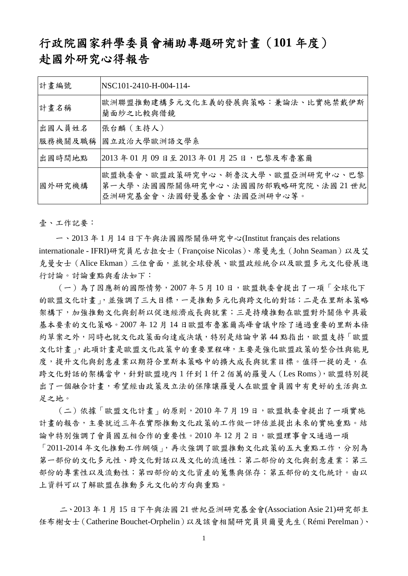## 行政院國家科學委員會補助專題研究計畫(**101** 年度) 赴國外研究心得報告

| 計畫編號    | NSC101-2410-H-004-114-                                                                               |
|---------|------------------------------------------------------------------------------------------------------|
| 計畫名稱    | 歐洲聯盟推動建構多元文化主義的發展與策略︰兼論法、比實施禁戴伊斯<br>蘭面紗之比較與借鏡                                                        |
| 出國人員姓名  | 張台麟 (主持人)                                                                                            |
| 服務機關及職稱 | 國立政治大學歐洲語文學系                                                                                         |
| 出國時間地點  | 2013年01月09日至2013年01月25日,巴黎及布魯塞爾                                                                      |
| 國外研究機構  | 歐盟執委會、歐盟政策研究中心、新魯汶大學、歐盟亞洲研究中心、巴黎<br>第一大學、法國國際關係研究中心、法國國防部戰略研究院、法國 21 世紀<br>亞洲研究基金會、法國舒曼基金會、法國亞洲研中心等。 |

壹、工作記要:

一、2013 年 1 月 14 日下午與法國國際關係研究中心(Institut français des relations internationale - IFRI)研究員尼古拉女士(Françoise Nicolas)、席曼先生(John Seaman)以及艾 克曼女士(Alice Ekman)三位會面,並就全球發展、歐盟政經統合以及歐盟多元文化發展進 行討論。討論重點與看法如下:

(一)為了因應新的國際情勢,2007年5月10日,歐盟執委會提出了一項「全球化下 的歐盟文化計畫」,並強調了三大目標,一是推動多元化與跨文化的對話;二是在里斯本策略 架構下,加強推動文化與創新以促進經濟成長與就業;三是持續推動在歐盟對外關係中具最 基本要素的文化策略。2007 年 12 月 14 日歐盟布魯塞爾高峰會議中除了通過重要的里斯本條 約草案之外,同時也就文化政策面向達成決議,特別是結論中第44點指出,歐盟支持「歐盟 文化計書」,此項計書是歐盟文化政策中的重要里程碑,主要是強化歐盟政策的整合性與能見 度,提升文化與創意產業以期符合里斯本策略中的擴大成長與就業目標。值得一提的是,在 跨文化對話的架構當中,針對歐盟境內 1 仟到 1 仟 2 佰萬的羅曼人(Les Roms),歐盟特別提 出了一個融合計畫,希望經由政策及立法的保障讓羅曼人在歐盟會員國中有更好的生活與立 足之地。

(二)依據「歐盟文化計畫」的原則,2010 年 7 月 19 日,歐盟執委會提出了一項實施 計畫的報告,主要就近三年在實際推動文化政策的工作做一評估並提出未來的實施重點。結 論中特別強調了會員國互相合作的重要性。2010年12月2日,歐盟理事會又通過一項

「2011-2014 年文化推動工作綱領」,再次強調了歐盟推動文化政策的五大重點工作,分別為 第一部份的文化多元性、跨文化對話以及文化的流通性;第二部份的文化與創意產業;第三 部份的專業性以及流動性;第四部份的文化資產的蒐集與保存;第五部份的文化統計。由以 上資料可以了解歐盟在推動多元文化的方向與重點。

二、2013 年 1 月 15 日下午與法國 21 世紀亞洲研究基金會(Association Asie 21)研究部主 任布榭女士(Catherine Bouchet-Orphelin)以及該會相關研究員貝爾曼先生(Rémi Perelman)、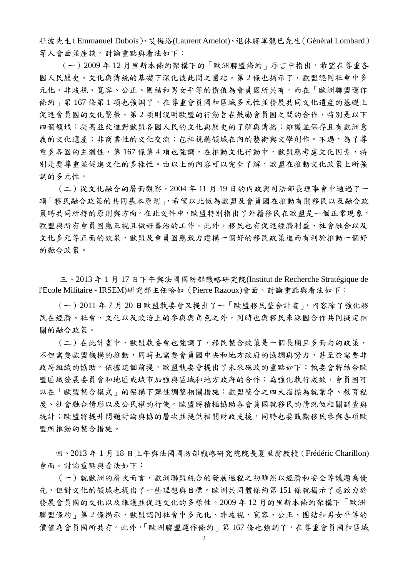杜波先生(Emmanuel Dubois)、艾梅洛(Laurent Amelot)、退休將軍龍巴先生(Général Lombard) 等人會面並座談。討論重點與看法如下:

(一)2009 年 12 月里斯本條約架構下的「歐洲聯盟條約」序言中指出,希望在尊重各 國人民歷史、文化與傳統的基礎下深化彼此間之團結。第2條也揭示了,歐盟認同社會中多 元化、非歧視、寬容、公正、團結和男女平等的價值為會員國所共有。而在「歐洲聯盟運作 條約 | 第 167 條第 1 項也強調了, 在尊重會員國和區域多元性並發展共同文化遺產的基礎上 促進會員國的文化繁榮。第2項則說明歐盟的行動旨在鼓勵會員國之間的合作,特別是以下 四個領域:提高並改進對歐盟各國人民的文化與歷史的了解與傳播;維護並保存且有歐洲意 義的文化遺產;非商業性的文化交流;包括視聽領域在內的藝術與文學創作。不過,為了尊 重多各國的主體性,第 167 條第 4 項也強調,在推動文化行動中,歐盟應考慮文化因素,特 別是要尊重並促進文化的多樣性。由以上的內容可以完全了解,歐盟在推動文化政策上所強 調的多元性。

(二)從文化融合的層面觀察,2004 年 11 月 19 日的內政與司法部長理事會中通過了一 項「移民融合政策的共同基本原則」,希望以此做為歐盟及會員國在推動有關移民以及融合政 策時共同所持的原則與方向。在此文件中,歐盟特別指出了外籍移民在歐盟是一個正常現象, 歐盟與所有會員國應正視且做好善治的工作。此外,移民也有促進經濟利益、社會融合以及 文化多元等正面的效果,歐盟及會員國應致力建構一個好的移民政策進而有利於推動一個好 的融合政策。

 三、2013 年 1 月 17 日下午與法國國防部戰略研究院(Institut de Recherche Stratégique de l'Ecole Militaire - IRSEM)研究部主任哈如(Pierre Razoux)會面。討論重點與看法如下:

(一)2011 年 7 月 20 日歐盟執委會又提出了一「歐盟移民整合計畫」,內容除了強化移 民在經濟、社會、文化以及政治上的參與與角色之外,同時也與移民來源國合作共同擬定相 關的融合政策。

(二)在此計畫中,歐盟執委會也強調了,移民整合政策是一個長期且多面向的政策, 不但需要歐盟機構的推動,同時也需要會員國中央和地方政府的協調與努力,甚至於需要非 政府組織的協助。依據這個前提,歐盟執委會提出了未來施政的重點如下:執委會將結合歐 盟區域發展委員會和地區或城市加強與區域和地方政府的合作;為強化執行成效,會員國可 以在「歐盟整合模式」的架構下彈性調整相關措施;歐盟整合之四大指標為就業率、教育程 度、社會融合情形以及公民權的行使。歐盟將積極協助各會員國就移民的情況做相關調查與 統計;歐盟將提升問題討論與協的層次並提供相關財政支援,同時也要鼓勵移民參與各項歐 盟所推動的整合措施。

四、2013 年 1 月 18 日上午與法國國防部戰略研究院院長夏里翁教授(Frédéric Charillon) 會面。討論重點與看法如下:

(一)就歐洲的層次而言,歐洲聯盟統合的發展過程之初雖然以經濟和安全等議題為優 先,但對文化的領域也提出了一些理想與目標。歐洲共同體條約第 151 條就揭示了應致力於 發展會員國的文化以及維護並促進文化的多樣性。2009 年 12 月的里斯本條約架構下「歐洲 聯盟條約,第2條揭示,歐盟認同社會中多元化、非歧視、寬容、公正、團結和男女平等的 價值為會員國所共有。此外,「歐洲聯盟運作條約」第167條也強調了,在尊重會員國和區域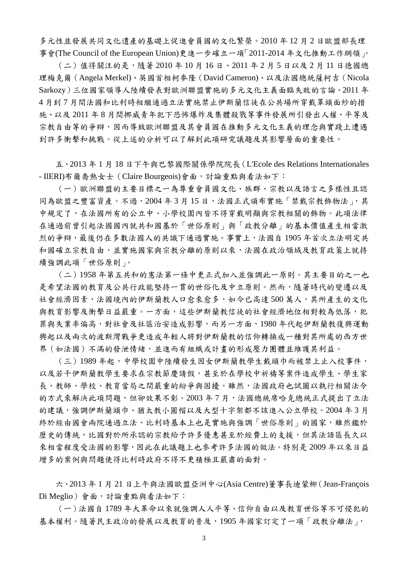多元性並發展共同文化遺產的基礎上促進會員國的文化繁榮。2010 年 12 月 2 日歐盟部長理 事會(The Council of the European Union)更進一步確立一項「2011-2014 年文化推動工作綱領」。

(二)值得關注的是,隨著 2010 年 10 月 16 日、2011 年 2 月 5 日以及 2 月 11 日德國總 理梅克爾(Angela Merkel)、英國首相柯麥隆(David Cameron)、以及法國總統薩柯吉(Nicola Sarkozy)三位國家領導人陸續發表對歐洲聯盟實施的多元文化主義面臨失敗的言論、2011 年 4 月到 7 月間法國和比利時相繼通過立法實施禁止伊斯蘭信徒在公共場所穿戴罩頭面紗的措 施、以及 2011 年 8 月間挪威青年犯下恐怖爆炸及集體殺戮等事件發展所引發出人權、平等及 宗教自由等的爭辯,因而導致歐洲聯盟及其會員國在推動多元文化主義的理念與實踐上遭遇 到許多衝擊和挑戰。從上述的分析可以了解到此項研究議題及其影響層面的重要性。

 五、2013 年 1 月 18 日下午與巴黎國際關係學院院長(L'Ecole des Relations Internationales - IIERI)布爾喬熱女士 (Claire Bourgeois)會面,討論重點與看法如下:

 (一)歐洲聯盟的主要目標之一為尊重會員國文化、族群、宗教以及語言之多樣性且認 同為歐盟之豐富資產。不過,2004年3月15日,法國正式頒布實施「禁戴宗教飾物法」,其 中規定了,在法國所有的公立中、小學校園內皆不得穿戴明顯與宗教相關的飾物。此項法律 在通過前曾引起法國國內就共和國基於「世俗原則」與「政教分離」的基本價值產生相當激 烈的爭辯,最後仍在多數法國人的共識下通過實施。事實上,法國自1905年首次立法明定共 和國確立宗教自由,並實施國家與宗教分離的原則以來,法國在政治領域及教育政策上就持 續強調此項「世俗原則」。

(二)1958 年第五共和的憲法第一條中更正式加入並強調此一原則。其主要目的之一也 是希望法國的教育及公共行政能堅持一貫的世俗化及中立原則。然而,隨著時代的變遷以及 社會經濟因素,法國境內的伊斯蘭教人口愈來愈多,如今已高達 500 萬人,其所產生的文化 與教育影響及衝擊日益嚴重。一方面,這些伊斯蘭教信徒的社會經濟地位相對較為低落,犯 罪與失業率偏高,對社會及社區治安造成影響,而另一方面,1980 年代起伊斯蘭教復興運動 興起以及兩次的波斯灣戰爭更造成年輕人將對伊斯蘭教的信仰轉換成一種對其所處的西方世 界(如法國)不滿的發泄情緒,並進而有組織或計畫的形成壓力團體並維護其利益。

(三)1989 年起,中學校園中陸續發生因女伊斯蘭教學生戴頭巾而被禁上止入校事件, 以及若干伊斯蘭教學生要求在宗教節慶請假,甚至於在學校中祈禱等案件造成學生、學生家 長、教師、學校、教育當局之間嚴重的紛爭與困擾。雖然,法國政府也試圖以執行相關法令 的方式來解決此項問題,但卻效果不彰。2003年7月,法國總統席哈克總統正式提出了立法 的建議, 強調伊斯蘭頭巾、猶太教小圓帽以及大型十字架都不該進入公立學校。2004 年 3 月 終於經由國會兩院通過立法。比利時基本上也是實施與強調「世俗原則」的國家,雖然鑑於 歷史的傳統,比國對於所承認的宗教給予許多優惠甚至於經費上的支援,但其法語區長久以 來相當程度受法國的影響,因此在此議題上也參考許多法國的做法。特別是 2009 年以來日益 增多的案例與問題使得比利時政府不得不更積極且嚴肅的面對。

 六、2013 年 1 月 21 日上午與法國歐盟亞洲中心(Asia Centre)董事長迪蒙柳(Jean-François Di Meglio)會面,討論重點與看法如下:

 (一)法國自 1789 年大革命以來就強調人人平等、信仰自由以及教育世俗等不可侵犯的 基本權利。隨著民主政治的發展以及教育的普及,1905 年國家訂定了一項「政教分離法」,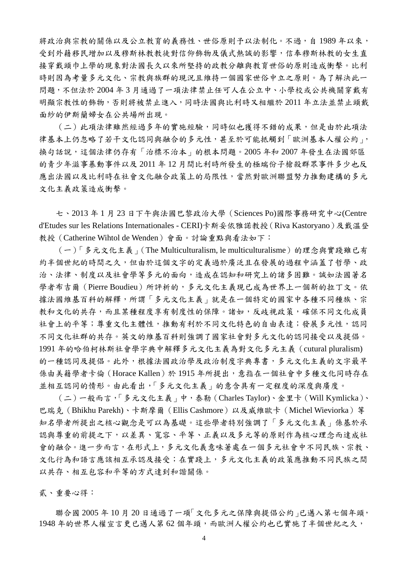將政治與宗教的關係以及公立教育的義務性、世俗原則予以法制化。不過,自1989年以來, 受到外藉移民增加以及穆斯林教教徒對信仰飾物及儀式熱誠的影響,信奉穆斯林教的女生直 接穿戴頭巾上學的現象對法國長久以來所堅持的政教分離與教育世俗的原則造成衝擊。比利 時則因為考量多元文化、宗教與族群的現況且維持一個國家世俗中立之原則。為了解決此一 問題,不但法於 2004 年 3 月通過了一項法律禁止任可人在公立中、小學校或公共機關穿戴有 明顯宗教性的飾物,否則將被禁止進入,同時法國與比利時又相繼於 2011 年立法並禁止頭戴 面紗的伊斯蘭婦女在公共場所出現。

 (二)此項法律雖然經過多年的實施經驗,同時似也獲得不錯的成果,但是由於此項法 律基本上仍忽略了若干文化認同與融合的多元性,甚至於可能抵觸到「歐洲基本人權公約」, 換句話說,這個法律仍存有「治標不治本」的根本問題。2005年和 2007 年發生在法國郊區 的青少年滋事暴動事件以及 2011 年 12 月間比利時所發生的極端份子槍殺群眾事件多少也反 應出法國以及比利時在社會文化融合政策上的局限性,當然對歐洲聯盟努力推動建構的多元 文化主義政策造成衝擊。

 七、2013 年 1 月 23 日下午與法國巴黎政治大學(Sciences Po)國際事務研究中心(Centre d'Etudes sur les Relations Internationales - CERI)卡斯妥依雅諾教授(Riva Kastoryano)及戴溫登 教授(Catherine Wihtol de Wenden)會面。討論重點與看法如下:

 (一)「多元文化主義」(The Multiculturalism, le multiculturalisme)的理念與實踐雖已有 約半個世紀的時間之久,但由於這個文字的定義過於廣泛且在發展的過程中涵蓋了哲學、政 治、法律、制度以及社會學等多元的面向,造成在認知和研究上的諸多困難。誠如法國著名 學者布吉爾 (Pierre Boudieu)所評析的,多元文化主義現已成為世界上一個新的拉丁文。依 據法國維基百科的解釋,所謂「多元文化主義」就是在一個特定的國家中各種不同種族、宗 教和文化的共存,而且某種程度享有制度性的保障。諸如,反歧視政策,確保不同文化成員 社會上的平等;尊重文化主體性,推動有利於不同文化特色的自由表達;發展多元性,認同 不同文化社群的共存。英文的維基百科則強調了國家社會對多元文化的認同接受以及提倡。 1991 年的哈伯柯林斯社會學字典中解釋多元文化主義為對文化多元主義(cutural pluralism) 的一種認同及提倡。此外,根據法國政治學及政治制度字典專書,多元文化主義的文字最早 係由美籍學者卡倫 (Horace Kallen)於 1915年所提出,意指在一個社會中多種文化同時存在 並相互認同的情形。由此看出,「多元文化主義」的意含具有一定程度的深度與廣度。

 (二)一般而言,「多元文化主義」中,泰勒(Charles Taylor)、金里卡(Will Kymlicka)、 巴瑞克(Bhikhu Parekh)、卡斯摩爾(Ellis Cashmore)以及威維歐卡(Michel Wieviorka)等 知名學者所提出之核心觀念是可以為基礎。這些學者特別強調了「多元文化主義」係基於承 認與尊重的前提之下,以差異、寬容、平等、正義以及多元等的原則作為核心理念而達成社 會的融合。進一步而言,在形式上,多元文化義意味著處在一個多元社會中不同民族、宗教、 文化行為和語言應該相互承認及接受;在實踐上,多元文化主義的政策應推動不同民族之間 以共存、相互包容和平等的方式達到和諧關係。

貳、重要心得:

 聯合國 2005 年 10 月 20 日通過了一項「文化多元之保障與提倡公約」已邁入第七個年頭, 1948年的世界人權宣言更已邁人第 62 個年頭,而歐洲人權公約也已實施了半個世紀之久,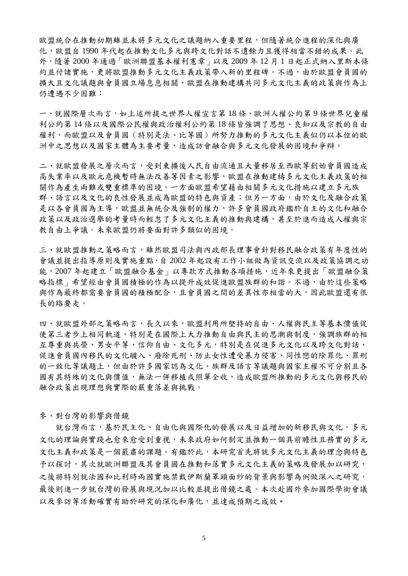歐盟統合在推動初期雖並未將多元文化之議題納入重要里程,但隨著統合進程的深化與廣 化,歐盟自 1990 年代起在推動文化多元與跨文化對話不遺餘力且獲得相當不錯的成果。此 外,隨著 2000 年通過「歐洲聯盟基本權利憲章」以及 2009 年 12 月 1 日起正式納入里斯本條 約並付諸實施,更將歐盟推動多元文化主義政策帶入新的里程碑。不過,由於歐盟會員國的 擴大且文化議題與會員國立場息息相關,歐盟在推動建構共同多元文化主義的政策與作為上 仍遭遇不少困難:

一、就國際層次而言,如上述所提之世界人權宣言第 18 條、歐洲人權公約第 9 條世界兒童權 利公約第 14 條以及國際公民權與政治權利公約第 18 條皆強調了思想、良知以及宗教的自由 權利,而歐盟以及會員國(特別是法、比等國)所努力推動的多元文化主義似仍以本位的歐 洲中之思想以及國家主體為主要考量,造成訪會融合與多元文化發展的困境和爭辯。

二、就歐盟發展之層次而言,受到東擴後人民自由流通且大量移居至西歐等創始會員國造成 高失業率以及歐元危機暫時無法改善等因素之影響,歐盟在推動建檮多元文化主義政策的相 關作為產生兩難或雙重標準的困境。一方面歐盟希望藉由相關多元文化措施以建立多元族 群、語言以及文化的良性發展並成為歐盟的特色與資產;但另一方面,由於文化及融合政策 是以各會員國為主導,歐盟並無統合及強制的權力,許多會員國政府鑑於自主的文化和融合 政策以及政治選舉的考量時而輕忽了多元文化主義的推動與建構,甚至於進而造成人權與宗 教自由上爭議。未來歐盟仍將要面對許多類似的困境。

三、就歐盟推動之策略而言,雖然歐盟司法與內政部長理事會針對移民融合政策有年度性的 會議並提出指導原則及實施重點,自 2002 年起設有工作小組做為資訊交流以及政策協調之功 能, 2007年起建立「歐盟融合基金」以專款方式推動各項措施,近年來更提出「歐盟融合策 略指標的希望經由會員國積極的作為以提升成效促進歐盟族群的和諧。不過,由於這些策略 與作為最終都需要會員國的積極配合,且會員國之間的差異性亦相當的大,因此歐盟還有很 長的路要走。

四、就歐盟外部之策略而言,長久以來,歐盟利用所堅持的自由、人權與民主等基本價值促 使第三者步上相同軌道,特別是在國際上大力推動自由與民主的思潮與制度,強調族群的相 互尊重與共榮、男女平等、信仰自由、文化多元,特別是在促進多元文化以及跨文化對話、 促進會員國內移民的文化鬷入、廢除死刑、防止女性遭受暴力侵害、同性戀的除罪化、罪刑 的一致化等議題上,但由於許多國家認為文化、族群及語言等議題與國家主權不可分割且各 國有其特殊的文化與價值,無法一併移植或照單全收,造成歐盟所推動的多元文化與移民的 融合政策出現理想與實際的嚴重落差與挑戰。

參、對台灣的影響與借鏡

就台灣而言,基於民主化、自由化與國際化的發展以及日益增加的新移民與文化,多元 文化的理論與實踐也愈來愈到重視,未來政府如何制定並推動一個具前瞻性且務實的多元 文化主義和政策是一個嚴肅的課題。有鑑於此,本研究首先將就多元文化主義的理念與特色 予以探討,其次就歐洲聯盟及其會員國在推動和落實多元文化主義的策略及發展加以研究, 之後將特別就法國和比利時兩國實施禁戴伊斯蘭罩頭面紗的背景與影響為例做深入之研究, 最後則進一步就台灣的發展與現況加以比較並提出借鏡之處。本次赴國外參加國際學術會議 以及參訪等活動確實有助於研究的深化和廣化,並達成預期之成效。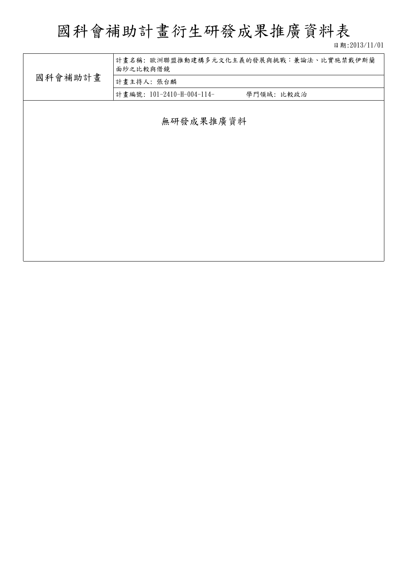# 國科會補助計畫衍生研發成果推廣資料表

日期:2013/11/01

|         | 計畫名稱:歐洲聯盟推動建構多元文化主義的發展與挑戰:兼論法、比實施禁戴伊斯蘭<br>面紗之比較與借鏡 |  |  |  |  |  |  |
|---------|----------------------------------------------------|--|--|--|--|--|--|
| 國科會補助計畫 | 計畫主持人:張台麟                                          |  |  |  |  |  |  |
|         | 計畫編號: 101-2410-H-004-114-<br>學門領域:比較政治             |  |  |  |  |  |  |
|         | 無研發成果推廣資料                                          |  |  |  |  |  |  |
|         |                                                    |  |  |  |  |  |  |
|         |                                                    |  |  |  |  |  |  |
|         |                                                    |  |  |  |  |  |  |
|         |                                                    |  |  |  |  |  |  |
|         |                                                    |  |  |  |  |  |  |
|         |                                                    |  |  |  |  |  |  |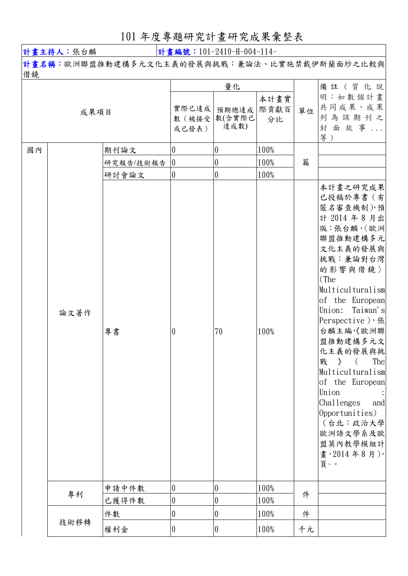## 101 年度專題研究計畫研究成果彙整表

|    | 計畫主持人:張台麟 |                                              | 計畫編號:101-2410-H-004-114-           |                                      |                          |    |                                                                                                                                                                                                                                                                                                                                                                                                               |
|----|-----------|----------------------------------------------|------------------------------------|--------------------------------------|--------------------------|----|---------------------------------------------------------------------------------------------------------------------------------------------------------------------------------------------------------------------------------------------------------------------------------------------------------------------------------------------------------------------------------------------------------------|
| 借鏡 |           | 計畫名稱:歐洲聯盟推動建構多元文化主義的發展與挑戰:兼論法、比實施禁戴伊斯蘭面紗之比較與 |                                    |                                      |                          |    |                                                                                                                                                                                                                                                                                                                                                                                                               |
|    | 成果項目      |                                              | 實際已達成<br>或已發表)                     | 量化<br>數 (被接受 數(含實際已<br>達成數)          | 本計畫實<br>預期總達成 際貢獻百<br>分比 | 單位 | 備註 (質化說<br>明:如數個計畫<br>共同成果、成果<br>列為該期刊之<br>封面故事<br>等)                                                                                                                                                                                                                                                                                                                                                         |
| 國內 |           | 期刊論文<br>研究報告/技術報告                            | $\overline{0}$<br>$\boldsymbol{0}$ | $\theta$<br>$\boldsymbol{0}$         | 100%<br>100%             | 篇  |                                                                                                                                                                                                                                                                                                                                                                                                               |
|    | 論文著作      | 研討會論文<br>專書                                  | $\boldsymbol{0}$<br>$\theta$       | $\overline{0}$<br>70                 | 100%<br>100%             |    | 本計畫之研究成果<br>已投稿於專書 (有<br>匿名審查機制),預<br>計 2014 年 8 月出<br>版:張台麟,〈歐洲<br>聯盟推動建構多元<br>文化主義的發展與<br>挑戰:兼論對台灣<br>的影響與借鏡〉<br>(The<br>Multiculturalism<br>of the European<br>Union:<br>Taiwan's<br>Perspective), 張<br>台麟主編《歐洲聯<br>盟推動建構多元文<br>化主義的發展與挑<br>戰 》 (<br>The<br>Multiculturalism<br>of the European<br>Union<br>Challenges<br>and<br>Opportunities)<br>(台北:政治大學<br>歐洲語文學系及歐<br>盟莫內教學模組計<br>畫, 2014年8月),<br>頁~。 |
|    | 專利        | 申請中件數<br>已獲得件數                               | $\boldsymbol{0}$<br>$\pmb{0}$      | $\boldsymbol{0}$<br>$\boldsymbol{0}$ | 100%<br>100%             | 件  |                                                                                                                                                                                                                                                                                                                                                                                                               |
|    |           | 件數                                           | $\boldsymbol{0}$                   | $\boldsymbol{0}$                     | 100%                     | 件  |                                                                                                                                                                                                                                                                                                                                                                                                               |
|    | 技術移轉      | 權利金                                          | $\boldsymbol{0}$                   | $\overline{0}$                       | 100%                     | 千元 |                                                                                                                                                                                                                                                                                                                                                                                                               |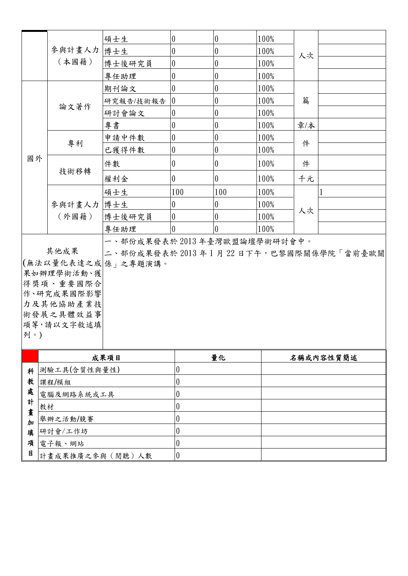|     |                         | 碩士生                                   | $\overline{0}$   | $\boldsymbol{0}$ | 100%      |     |  |  |
|-----|-------------------------|---------------------------------------|------------------|------------------|-----------|-----|--|--|
|     | 參與計畫人力                  | 博士生                                   | $\overline{0}$   | $\boldsymbol{0}$ | 100%      | 人次  |  |  |
|     | (本國籍)                   | 博士後研究員                                | $\overline{0}$   | $\boldsymbol{0}$ | 100%      |     |  |  |
|     |                         | 專任助理                                  | $\overline{0}$   | $\boldsymbol{0}$ | 100%      |     |  |  |
|     |                         | 期刊論文                                  | $\overline{0}$   | $\boldsymbol{0}$ | 100%      | 篇   |  |  |
|     | 論文著作                    | 研究報告/技術報告                             | $\overline{0}$   | $\boldsymbol{0}$ | 100%      |     |  |  |
|     |                         | 研討會論文                                 | $\theta$         | $\boldsymbol{0}$ | 100%      |     |  |  |
|     |                         | 專書                                    | $\overline{0}$   | $\boldsymbol{0}$ | 100%      | 章/本 |  |  |
|     |                         | 申請中件數                                 | $\overline{0}$   | $\boldsymbol{0}$ | 100%      |     |  |  |
|     | 專利                      | 已獲得件數                                 | $\overline{0}$   | $\boldsymbol{0}$ | 100%      | 件   |  |  |
| 國外  |                         | 件數                                    | $\theta$         | $\boldsymbol{0}$ | 100%      | 件   |  |  |
|     | 技術移轉                    | 權利金                                   | $\theta$         | $\overline{0}$   | 100%      | 千元  |  |  |
|     |                         | 碩士生                                   | 100              | 100              | 100%      |     |  |  |
|     | 參與計畫人力 博士生              |                                       | $\overline{0}$   | $\theta$         | 100%      | 人次  |  |  |
|     | (外國籍)                   | 博士後研究員                                | $\overline{0}$   | $\overline{0}$   | 100%      |     |  |  |
|     |                         | 專任助理                                  | $\overline{0}$   | $\theta$         | 100%      |     |  |  |
|     |                         | 一、部份成果發表於2013年臺灣歐盟論壇學術研討會中。           |                  |                  |           |     |  |  |
|     | 其他成果                    | 二、部份成果發表於 2013年1月22日下午,巴黎國際關係學院「當前臺歐關 |                  |                  |           |     |  |  |
|     |                         | (無法以量化表達之成 係」之專題演講。                   |                  |                  |           |     |  |  |
|     | 果如辦理學術活動、獲              |                                       |                  |                  |           |     |  |  |
|     | 得獎項、重要國際合<br>作、研究成果國際影響 |                                       |                  |                  |           |     |  |  |
|     | 力及其他協助產業技               |                                       |                  |                  |           |     |  |  |
|     | 術發展之具體效益事               |                                       |                  |                  |           |     |  |  |
|     | 項等,請以文字敘述填              |                                       |                  |                  |           |     |  |  |
| 列。) |                         |                                       |                  |                  |           |     |  |  |
|     |                         | 成果項目                                  |                  | 量化               | 名稱或內容性質簡述 |     |  |  |
| 科   | 測驗工具(含質性與量性)            | $\boldsymbol{0}$                      |                  |                  |           |     |  |  |
| 教   | 課程/模組                   |                                       | $\boldsymbol{0}$ |                  |           |     |  |  |
| 處   | 電腦及網路系統或工具              |                                       | $\boldsymbol{0}$ |                  |           |     |  |  |
| 計   | 教材                      |                                       |                  |                  |           |     |  |  |
| 畫   |                         |                                       | $\boldsymbol{0}$ |                  |           |     |  |  |

舉辦之活動/競賽 2009年 2009年 2009年 2012年 2013年 2014年 2014年 2015年 2016年 2017年 2018年 2014年 2015年 2016年 2017年 2017年 2017年 2017年 2017年 2017年 2017年 2017年 2017年 2017年 2017年 2017年 2017年 2017年 2017年 2017年 2017年 2017年 2017年 2017年 2017年 2

填 研討會/工作坊  $0$ 項 電子報、網站  $\hspace{1.6cm} |0 \>$ 

目 計畫成果推廣之參與(閱聽)人數 |0

加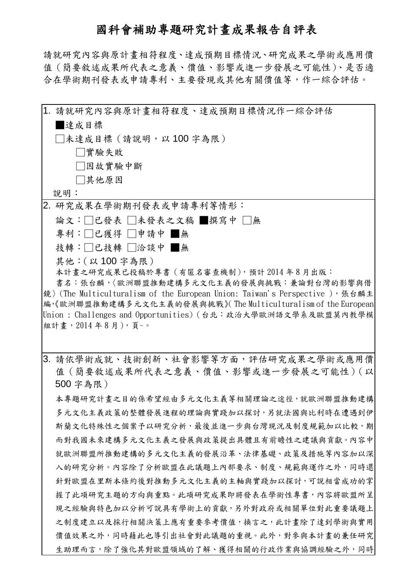## 國科會補助專題研究計畫成果報告自評表

請就研究內容與原計畫相符程度、達成預期目標情況、研究成果之學術或應用價 值(簡要敘述成果所代表之意義、價值、影響或進一步發展之可能性)、是否適 合在學術期刊發表或申請專利、主要發現或其他有關價值等,作一綜合評估。

| 1. 請就研究內容與原計畫相符程度、達成預期目標情況作一綜合評估                                                                                        |
|-------------------------------------------------------------------------------------------------------------------------|
| 達成目標                                                                                                                    |
| □未達成目標 (請說明,以100字為限)                                                                                                    |
| □實驗失敗                                                                                                                   |
| □因故實驗中斷                                                                                                                 |
| □其他原因                                                                                                                   |
| 說明:                                                                                                                     |
| 2. 研究成果在學術期刊發表或申請專利等情形:                                                                                                 |
| 論文:□已發表 □未發表之文稿 ■撰寫中 □無                                                                                                 |
| 專利:□已獲得 □申請中 ■無                                                                                                         |
| 技轉:□已技轉 □洽談中 ■無                                                                                                         |
| 其他: (以100字為限)                                                                                                           |
| 本計畫之研究成果已投稿於專書(有匿名審查機制), 預計 2014 年 8 月出版:                                                                               |
| 書名:張台麟,〈歐洲聯盟推動建構多元文化主義的發展與挑戰:兼論對台灣的影響與借<br>鏡) (The Multiculturalism of the European Union: Taiwan's Perspective ), 張台麟主 |
| 編,《歐洲聯盟推動建構多元文化主義的發展與挑戰》(The Multiculturalism of the European                                                           |
| Union: Challenges and Opportunities) (台北:政治大學歐洲語文學系及歐盟莫內教學模                                                             |
| 組計畫, 2014年8月), 頁~。                                                                                                      |
|                                                                                                                         |
| 3. 請依學術成就、技術創新、社會影響等方面,評估研究成果之學術或應用價                                                                                    |
| 值(簡要敘述成果所代表之意義、價值、影響或進一步發展之可能性)(以                                                                                       |
| 500字為限)                                                                                                                 |
| 本專題研究計畫之目的係希望經由多元文化主義等相關理論之途徑,就歐洲聯盟推動建構                                                                                 |
| 多元文化主義政策的整體發展進程的理論與實踐加以探討,另就法國與比利時在遭遇到伊                                                                                 |
| 斯蘭文化特殊性之個案予以研究分析,最後並進一步與台灣現況及制度規範加以比較,期                                                                                 |
| 而對我國未來建構多元文化主義之發展與政策提出具體且有前瞻性之建議與貢獻。內容中                                                                                 |
| 就歐洲聯盟所推動建構的多元文化主義的發展沿革、法律基礎、政策及措施等內容加以深                                                                                 |
| 入的研究分析。內容除了分析歐盟在此議題上內部要求、制度、規範與運作之外,同時還                                                                                 |
| 針對歐盟在里斯本條約後對推動多元文化主義的主軸與實踐加以探討,可說相當成功的掌                                                                                 |
| 握了此項研究主題的方向與重點。此項研究成果即將發表在學術性專書,內容將歐盟所呈                                                                                 |
| 現之經驗與特色加以分析可說具有學術上的貢獻,另外對政府或相關單位對此重要議題上                                                                                 |
| 之制度建立以及採行相關決策上應有重要參考價值,換言之,此計畫除了達到學術與實用                                                                                 |
| 價值效果之外,同時藉此也導引出社會對此議題的重視。此外,對參與本計畫的兼任研究                                                                                 |
|                                                                                                                         |